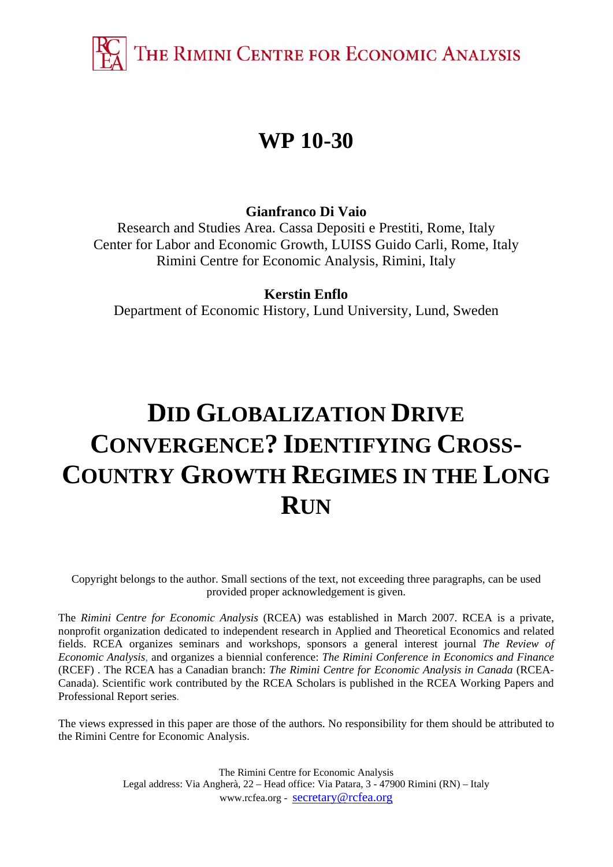THE RIMINI CENTRE FOR ECONOMIC ANALYSIS

## **WP 10-30**

### **Gianfranco Di Vaio**

Research and Studies Area. Cassa Depositi e Prestiti, Rome, Italy Center for Labor and Economic Growth, LUISS Guido Carli, Rome, Italy Rimini Centre for Economic Analysis, Rimini, Italy

### **Kerstin Enflo**

Department of Economic History, Lund University, Lund, Sweden

# **DID GLOBALIZATION DRIVE CONVERGENCE? IDENTIFYING CROSS-COUNTRY GROWTH REGIMES IN THE LONG RUN**

Copyright belongs to the author. Small sections of the text, not exceeding three paragraphs, can be used provided proper acknowledgement is given.

The *Rimini Centre for Economic Analysis* (RCEA) was established in March 2007. RCEA is a private, nonprofit organization dedicated to independent research in Applied and Theoretical Economics and related fields. RCEA organizes seminars and workshops, sponsors a general interest journal *The Review of Economic Analysis*, and organizes a biennial conference: *The Rimini Conference in Economics and Finance*  (RCEF) . The RCEA has a Canadian branch: *The Rimini Centre for Economic Analysis in Canada* (RCEA-Canada). Scientific work contributed by the RCEA Scholars is published in the RCEA Working Papers and Professional Report series.

The views expressed in this paper are those of the authors. No responsibility for them should be attributed to the Rimini Centre for Economic Analysis.

> The Rimini Centre for Economic Analysis Legal address: Via Angherà, 22 – Head office: Via Patara, 3 - 47900 Rimini (RN) – Italy www.rcfea.org - secretary@rcfea.org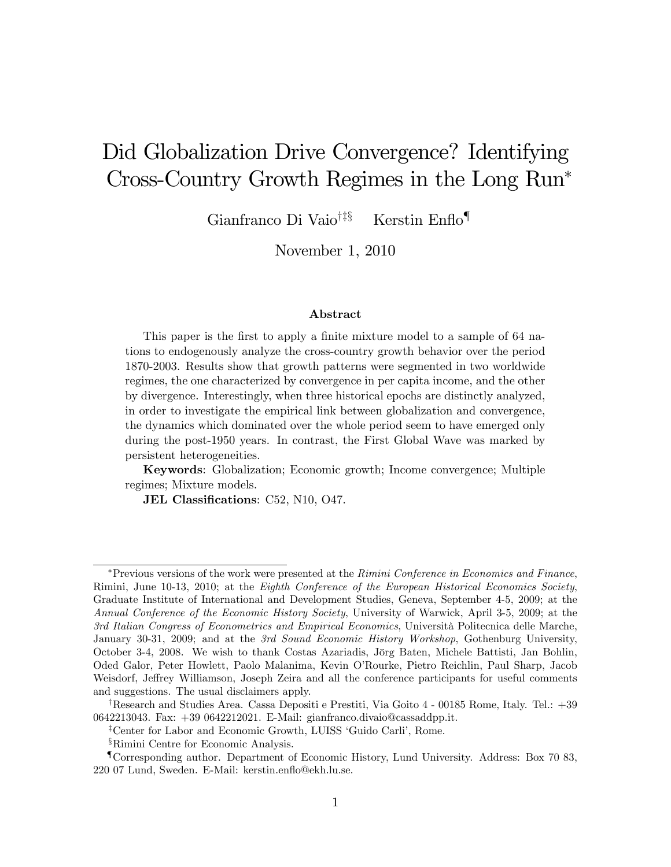## Did Globalization Drive Convergence? Identifying Cross-Country Growth Regimes in the Long Run

Gianfranco Di Vaio<sup>†‡§</sup> Kerstin Enflo<sup>¶</sup>

November 1, 2010

#### Abstract

This paper is the first to apply a finite mixture model to a sample of 64 nations to endogenously analyze the cross-country growth behavior over the period 1870-2003. Results show that growth patterns were segmented in two worldwide regimes, the one characterized by convergence in per capita income, and the other by divergence. Interestingly, when three historical epochs are distinctly analyzed, in order to investigate the empirical link between globalization and convergence, the dynamics which dominated over the whole period seem to have emerged only during the post-1950 years. In contrast, the First Global Wave was marked by persistent heterogeneities.

Keywords: Globalization; Economic growth; Income convergence; Multiple regimes; Mixture models.

JEL Classifications: C52, N10, O47.

 $*$ Previous versions of the work were presented at the Rimini Conference in Economics and Finance, Rimini, June 10-13, 2010; at the Eighth Conference of the European Historical Economics Society, Graduate Institute of International and Development Studies, Geneva, September 4-5, 2009; at the Annual Conference of the Economic History Society, University of Warwick, April 3-5, 2009; at the 3rd Italian Congress of Econometrics and Empirical Economics, Università Politecnica delle Marche, January 30-31, 2009; and at the 3rd Sound Economic History Workshop, Gothenburg University, October 3-4, 2008. We wish to thank Costas Azariadis, Jörg Baten, Michele Battisti, Jan Bohlin, Oded Galor, Peter Howlett, Paolo Malanima, Kevin OíRourke, Pietro Reichlin, Paul Sharp, Jacob Weisdorf, Jeffrey Williamson, Joseph Zeira and all the conference participants for useful comments and suggestions. The usual disclaimers apply.

<sup>&</sup>lt;sup>†</sup>Research and Studies Area. Cassa Depositi e Prestiti, Via Goito 4 - 00185 Rome, Italy. Tel.:  $+39$ 0642213043. Fax: +39 0642212021. E-Mail: gianfranco.divaio@cassaddpp.it.

<sup>&</sup>lt;sup>‡</sup>Center for Labor and Economic Growth, LUISS 'Guido Carli', Rome.

<sup>&</sup>lt;sup>§</sup>Rimini Centre for Economic Analysis.

<sup>{</sup>Corresponding author. Department of Economic History, Lund University. Address: Box 70 83, 220 07 Lund, Sweden. E-Mail: kerstin.enáo@ekh.lu.se.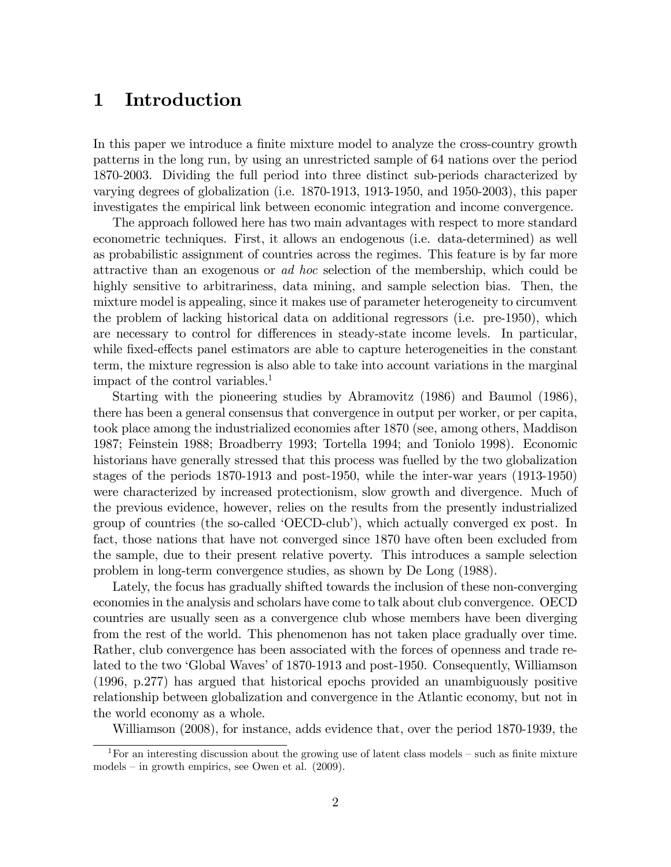## 1 Introduction

In this paper we introduce a finite mixture model to analyze the cross-country growth patterns in the long run, by using an unrestricted sample of 64 nations over the period 1870-2003. Dividing the full period into three distinct sub-periods characterized by varying degrees of globalization (i.e. 1870-1913, 1913-1950, and 1950-2003), this paper investigates the empirical link between economic integration and income convergence.

The approach followed here has two main advantages with respect to more standard econometric techniques. First, it allows an endogenous (i.e. data-determined) as well as probabilistic assignment of countries across the regimes. This feature is by far more attractive than an exogenous or ad hoc selection of the membership, which could be highly sensitive to arbitrariness, data mining, and sample selection bias. Then, the mixture model is appealing, since it makes use of parameter heterogeneity to circumvent the problem of lacking historical data on additional regressors (i.e. pre-1950), which are necessary to control for differences in steady-state income levels. In particular, while fixed-effects panel estimators are able to capture heterogeneities in the constant term, the mixture regression is also able to take into account variations in the marginal impact of the control variables.<sup>1</sup>

Starting with the pioneering studies by Abramovitz (1986) and Baumol (1986), there has been a general consensus that convergence in output per worker, or per capita, took place among the industrialized economies after 1870 (see, among others, Maddison 1987; Feinstein 1988; Broadberry 1993; Tortella 1994; and Toniolo 1998). Economic historians have generally stressed that this process was fuelled by the two globalization stages of the periods 1870-1913 and post-1950, while the inter-war years (1913-1950) were characterized by increased protectionism, slow growth and divergence. Much of the previous evidence, however, relies on the results from the presently industrialized group of countries (the so-called 'OECD-club'), which actually converged ex post. In fact, those nations that have not converged since 1870 have often been excluded from the sample, due to their present relative poverty. This introduces a sample selection problem in long-term convergence studies, as shown by De Long (1988).

Lately, the focus has gradually shifted towards the inclusion of these non-converging economies in the analysis and scholars have come to talk about club convergence. OECD countries are usually seen as a convergence club whose members have been diverging from the rest of the world. This phenomenon has not taken place gradually over time. Rather, club convergence has been associated with the forces of openness and trade related to the two 'Global Waves' of 1870-1913 and post-1950. Consequently, Williamson (1996, p.277) has argued that historical epochs provided an unambiguously positive relationship between globalization and convergence in the Atlantic economy, but not in the world economy as a whole.

Williamson (2008), for instance, adds evidence that, over the period 1870-1939, the

<sup>&</sup>lt;sup>1</sup>For an interesting discussion about the growing use of latent class models  $-$  such as finite mixture models  $-$  in growth empirics, see Owen et al. (2009).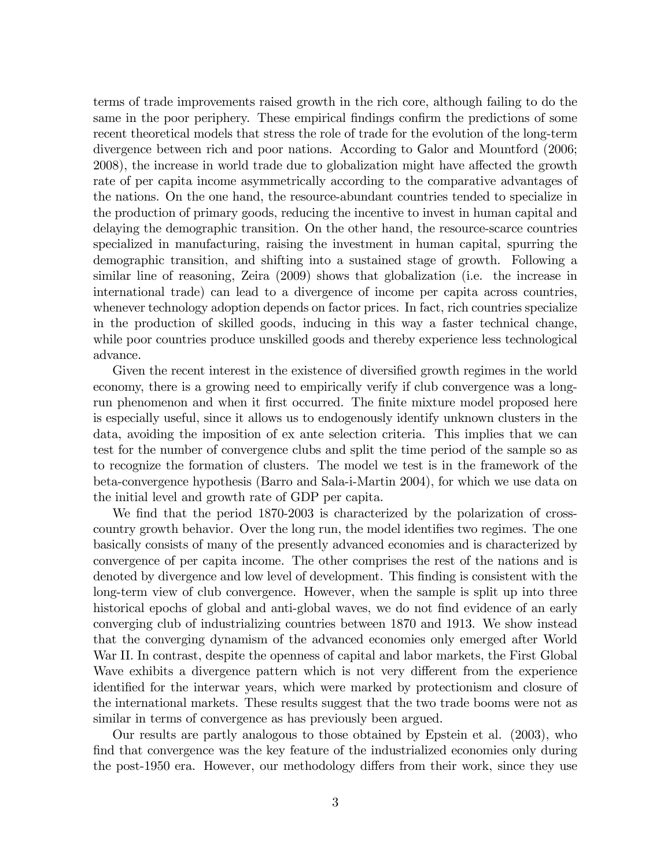terms of trade improvements raised growth in the rich core, although failing to do the same in the poor periphery. These empirical findings confirm the predictions of some recent theoretical models that stress the role of trade for the evolution of the long-term divergence between rich and poor nations. According to Galor and Mountford (2006; 2008), the increase in world trade due to globalization might have affected the growth rate of per capita income asymmetrically according to the comparative advantages of the nations. On the one hand, the resource-abundant countries tended to specialize in the production of primary goods, reducing the incentive to invest in human capital and delaying the demographic transition. On the other hand, the resource-scarce countries specialized in manufacturing, raising the investment in human capital, spurring the demographic transition, and shifting into a sustained stage of growth. Following a similar line of reasoning, Zeira (2009) shows that globalization (i.e. the increase in international trade) can lead to a divergence of income per capita across countries, whenever technology adoption depends on factor prices. In fact, rich countries specialize in the production of skilled goods, inducing in this way a faster technical change, while poor countries produce unskilled goods and thereby experience less technological advance.

Given the recent interest in the existence of diversified growth regimes in the world economy, there is a growing need to empirically verify if club convergence was a longrun phenomenon and when it first occurred. The finite mixture model proposed here is especially useful, since it allows us to endogenously identify unknown clusters in the data, avoiding the imposition of ex ante selection criteria. This implies that we can test for the number of convergence clubs and split the time period of the sample so as to recognize the formation of clusters. The model we test is in the framework of the beta-convergence hypothesis (Barro and Sala-i-Martin 2004), for which we use data on the initial level and growth rate of GDP per capita.

We find that the period 1870-2003 is characterized by the polarization of crosscountry growth behavior. Over the long run, the model identifies two regimes. The one basically consists of many of the presently advanced economies and is characterized by convergence of per capita income. The other comprises the rest of the nations and is denoted by divergence and low level of development. This finding is consistent with the long-term view of club convergence. However, when the sample is split up into three historical epochs of global and anti-global waves, we do not find evidence of an early converging club of industrializing countries between 1870 and 1913. We show instead that the converging dynamism of the advanced economies only emerged after World War II. In contrast, despite the openness of capital and labor markets, the First Global Wave exhibits a divergence pattern which is not very different from the experience identified for the interwar years, which were marked by protectionism and closure of the international markets. These results suggest that the two trade booms were not as similar in terms of convergence as has previously been argued.

Our results are partly analogous to those obtained by Epstein et al. (2003), who find that convergence was the key feature of the industrialized economies only during the post-1950 era. However, our methodology differs from their work, since they use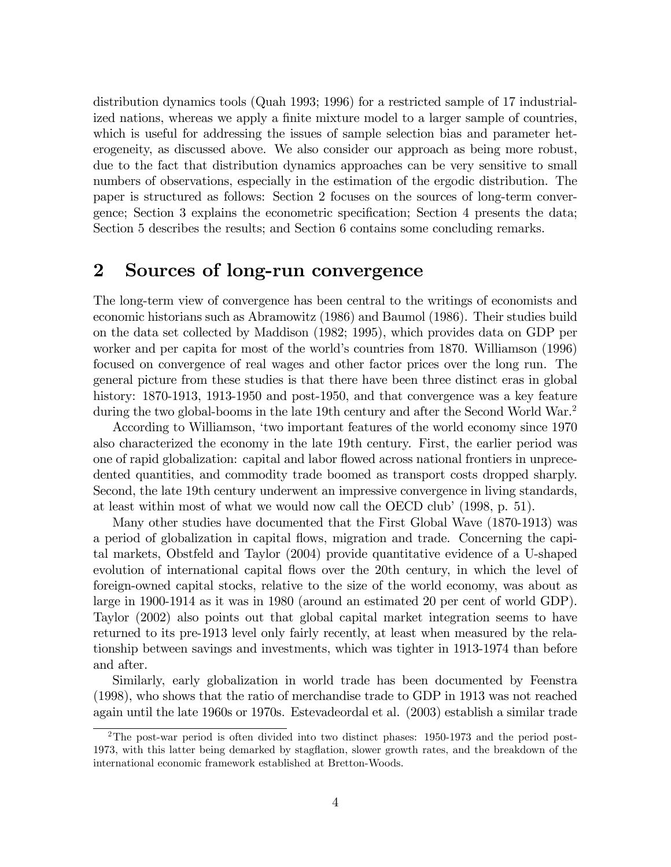distribution dynamics tools (Quah 1993; 1996) for a restricted sample of 17 industrialized nations, whereas we apply a finite mixture model to a larger sample of countries, which is useful for addressing the issues of sample selection bias and parameter heterogeneity, as discussed above. We also consider our approach as being more robust, due to the fact that distribution dynamics approaches can be very sensitive to small numbers of observations, especially in the estimation of the ergodic distribution. The paper is structured as follows: Section 2 focuses on the sources of long-term convergence; Section 3 explains the econometric specification; Section 4 presents the data; Section 5 describes the results; and Section 6 contains some concluding remarks.

## 2 Sources of long-run convergence

The long-term view of convergence has been central to the writings of economists and economic historians such as Abramowitz (1986) and Baumol (1986). Their studies build on the data set collected by Maddison (1982; 1995), which provides data on GDP per worker and per capita for most of the world's countries from 1870. Williamson (1996) focused on convergence of real wages and other factor prices over the long run. The general picture from these studies is that there have been three distinct eras in global history: 1870-1913, 1913-1950 and post-1950, and that convergence was a key feature during the two global-booms in the late 19th century and after the Second World War.<sup>2</sup>

According to Williamson, 'two important features of the world economy since 1970 also characterized the economy in the late 19th century. First, the earlier period was one of rapid globalization: capital and labor flowed across national frontiers in unprecedented quantities, and commodity trade boomed as transport costs dropped sharply. Second, the late 19th century underwent an impressive convergence in living standards, at least within most of what we would now call the OECD club'  $(1998, p. 51)$ .

Many other studies have documented that the First Global Wave (1870-1913) was a period of globalization in capital áows, migration and trade. Concerning the capital markets, Obstfeld and Taylor (2004) provide quantitative evidence of a U-shaped evolution of international capital flows over the 20th century, in which the level of foreign-owned capital stocks, relative to the size of the world economy, was about as large in 1900-1914 as it was in 1980 (around an estimated 20 per cent of world GDP). Taylor (2002) also points out that global capital market integration seems to have returned to its pre-1913 level only fairly recently, at least when measured by the relationship between savings and investments, which was tighter in 1913-1974 than before and after.

Similarly, early globalization in world trade has been documented by Feenstra (1998), who shows that the ratio of merchandise trade to GDP in 1913 was not reached again until the late 1960s or 1970s. Estevadeordal et al. (2003) establish a similar trade

<sup>2</sup>The post-war period is often divided into two distinct phases: 1950-1973 and the period post-1973, with this latter being demarked by stagflation, slower growth rates, and the breakdown of the international economic framework established at Bretton-Woods.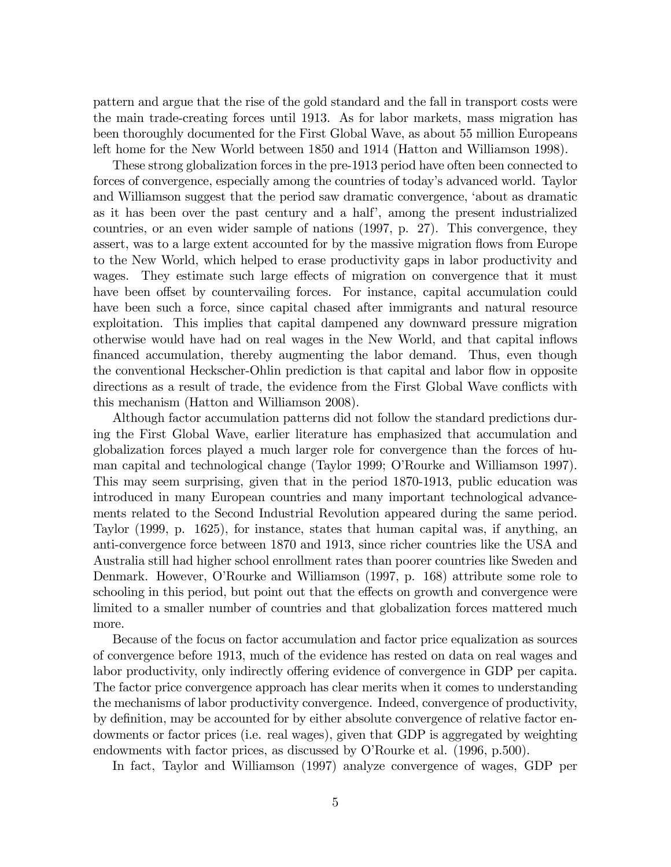pattern and argue that the rise of the gold standard and the fall in transport costs were the main trade-creating forces until 1913. As for labor markets, mass migration has been thoroughly documented for the First Global Wave, as about 55 million Europeans left home for the New World between 1850 and 1914 (Hatton and Williamson 1998).

These strong globalization forces in the pre-1913 period have often been connected to forces of convergence, especially among the countries of today's advanced world. Taylor and Williamson suggest that the period saw dramatic convergence, ëabout as dramatic as it has been over the past century and a half<sup>'</sup>, among the present industrialized countries, or an even wider sample of nations (1997, p. 27). This convergence, they assert, was to a large extent accounted for by the massive migration flows from Europe to the New World, which helped to erase productivity gaps in labor productivity and wages. They estimate such large effects of migration on convergence that it must have been offset by countervailing forces. For instance, capital accumulation could have been such a force, since capital chased after immigrants and natural resource exploitation. This implies that capital dampened any downward pressure migration otherwise would have had on real wages in the New World, and that capital ináows financed accumulation, thereby augmenting the labor demand. Thus, even though the conventional Heckscher-Ohlin prediction is that capital and labor flow in opposite directions as a result of trade, the evidence from the First Global Wave conflicts with this mechanism (Hatton and Williamson 2008).

Although factor accumulation patterns did not follow the standard predictions during the First Global Wave, earlier literature has emphasized that accumulation and globalization forces played a much larger role for convergence than the forces of human capital and technological change (Taylor 1999; O'Rourke and Williamson 1997). This may seem surprising, given that in the period 1870-1913, public education was introduced in many European countries and many important technological advancements related to the Second Industrial Revolution appeared during the same period. Taylor (1999, p. 1625), for instance, states that human capital was, if anything, an anti-convergence force between 1870 and 1913, since richer countries like the USA and Australia still had higher school enrollment rates than poorer countries like Sweden and Denmark. However, O'Rourke and Williamson (1997, p. 168) attribute some role to schooling in this period, but point out that the effects on growth and convergence were limited to a smaller number of countries and that globalization forces mattered much more.

Because of the focus on factor accumulation and factor price equalization as sources of convergence before 1913, much of the evidence has rested on data on real wages and labor productivity, only indirectly offering evidence of convergence in GDP per capita. The factor price convergence approach has clear merits when it comes to understanding the mechanisms of labor productivity convergence. Indeed, convergence of productivity, by definition, may be accounted for by either absolute convergence of relative factor endowments or factor prices (i.e. real wages), given that GDP is aggregated by weighting endowments with factor prices, as discussed by O'Rourke et al. (1996, p.500).

In fact, Taylor and Williamson (1997) analyze convergence of wages, GDP per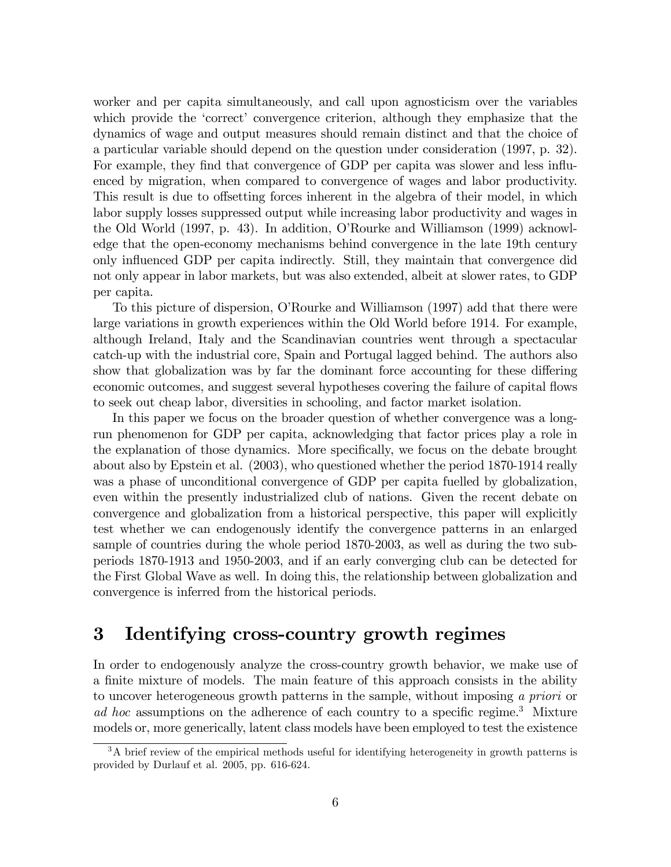worker and per capita simultaneously, and call upon agnosticism over the variables which provide the 'correct' convergence criterion, although they emphasize that the dynamics of wage and output measures should remain distinct and that the choice of a particular variable should depend on the question under consideration (1997, p. 32). For example, they find that convergence of GDP per capita was slower and less influenced by migration, when compared to convergence of wages and labor productivity. This result is due to offsetting forces inherent in the algebra of their model, in which labor supply losses suppressed output while increasing labor productivity and wages in the Old World (1997, p. 43). In addition, OíRourke and Williamson (1999) acknowledge that the open-economy mechanisms behind convergence in the late 19th century only ináuenced GDP per capita indirectly. Still, they maintain that convergence did not only appear in labor markets, but was also extended, albeit at slower rates, to GDP per capita.

To this picture of dispersion, OíRourke and Williamson (1997) add that there were large variations in growth experiences within the Old World before 1914. For example, although Ireland, Italy and the Scandinavian countries went through a spectacular catch-up with the industrial core, Spain and Portugal lagged behind. The authors also show that globalization was by far the dominant force accounting for these differing economic outcomes, and suggest several hypotheses covering the failure of capital flows to seek out cheap labor, diversities in schooling, and factor market isolation.

In this paper we focus on the broader question of whether convergence was a longrun phenomenon for GDP per capita, acknowledging that factor prices play a role in the explanation of those dynamics. More specifically, we focus on the debate brought about also by Epstein et al. (2003), who questioned whether the period 1870-1914 really was a phase of unconditional convergence of GDP per capita fuelled by globalization, even within the presently industrialized club of nations. Given the recent debate on convergence and globalization from a historical perspective, this paper will explicitly test whether we can endogenously identify the convergence patterns in an enlarged sample of countries during the whole period 1870-2003, as well as during the two subperiods 1870-1913 and 1950-2003, and if an early converging club can be detected for the First Global Wave as well. In doing this, the relationship between globalization and convergence is inferred from the historical periods.

## 3 Identifying cross-country growth regimes

In order to endogenously analyze the cross-country growth behavior, we make use of a finite mixture of models. The main feature of this approach consists in the ability to uncover heterogeneous growth patterns in the sample, without imposing a priori or ad hoc assumptions on the adherence of each country to a specific regime.<sup>3</sup> Mixture models or, more generically, latent class models have been employed to test the existence

<sup>&</sup>lt;sup>3</sup>A brief review of the empirical methods useful for identifying heterogeneity in growth patterns is provided by Durlauf et al. 2005, pp. 616-624.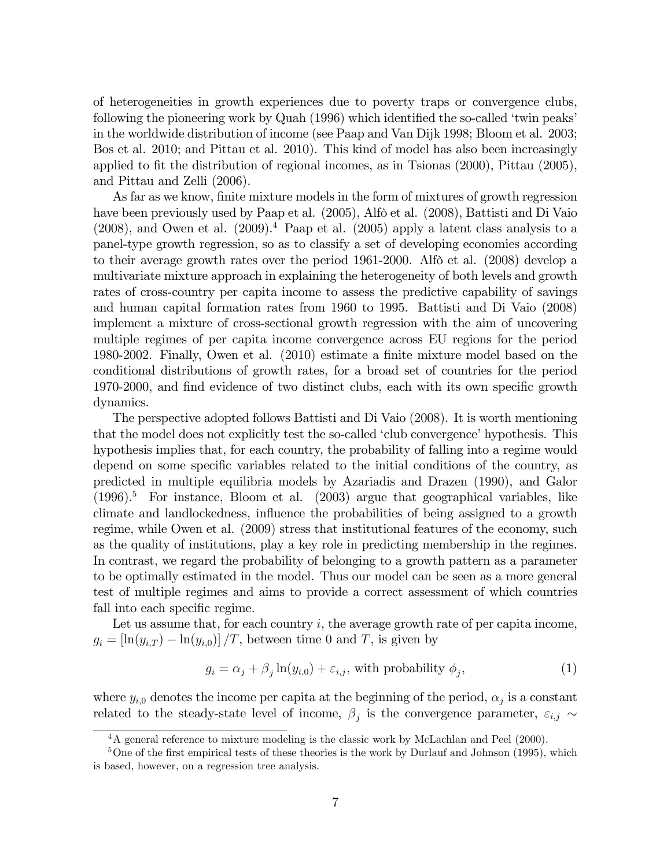of heterogeneities in growth experiences due to poverty traps or convergence clubs, following the pioneering work by Quah  $(1996)$  which identified the so-called 'twin peaks' in the worldwide distribution of income (see Paap and Van Dijk 1998; Bloom et al. 2003; Bos et al. 2010; and Pittau et al. 2010). This kind of model has also been increasingly applied to fit the distribution of regional incomes, as in Tsionas  $(2000)$ , Pittau  $(2005)$ , and Pittau and Zelli (2006).

As far as we know, finite mixture models in the form of mixtures of growth regression have been previously used by Paap et al. (2005), Alfò et al. (2008), Battisti and Di Vaio  $(2008)$ , and Owen et al.  $(2009)^4$  Paap et al.  $(2005)$  apply a latent class analysis to a panel-type growth regression, so as to classify a set of developing economies according to their average growth rates over the period  $1961-2000$ . Alfo et al.  $(2008)$  develop a multivariate mixture approach in explaining the heterogeneity of both levels and growth rates of cross-country per capita income to assess the predictive capability of savings and human capital formation rates from 1960 to 1995. Battisti and Di Vaio (2008) implement a mixture of cross-sectional growth regression with the aim of uncovering multiple regimes of per capita income convergence across EU regions for the period 1980-2002. Finally, Owen et al. (2010) estimate a finite mixture model based on the conditional distributions of growth rates, for a broad set of countries for the period 1970-2000, and find evidence of two distinct clubs, each with its own specific growth dynamics.

The perspective adopted follows Battisti and Di Vaio (2008). It is worth mentioning that the model does not explicitly test the so-called 'club convergence' hypothesis. This hypothesis implies that, for each country, the probability of falling into a regime would depend on some specific variables related to the initial conditions of the country, as predicted in multiple equilibria models by Azariadis and Drazen (1990), and Galor  $(1996).$ <sup>5</sup> For instance, Bloom et al.  $(2003)$  argue that geographical variables, like climate and landlockedness, influence the probabilities of being assigned to a growth regime, while Owen et al. (2009) stress that institutional features of the economy, such as the quality of institutions, play a key role in predicting membership in the regimes. In contrast, we regard the probability of belonging to a growth pattern as a parameter to be optimally estimated in the model. Thus our model can be seen as a more general test of multiple regimes and aims to provide a correct assessment of which countries fall into each specific regime.

Let us assume that, for each country  $i$ , the average growth rate of per capita income,  $g_i = \left[ \ln(y_{i,T}) - \ln(y_{i,0}) \right] / T$ , between time 0 and T, is given by

$$
g_i = \alpha_j + \beta_j \ln(y_{i,0}) + \varepsilon_{i,j}, \text{ with probability } \phi_j,
$$
\n
$$
(1)
$$

where  $y_{i,0}$  denotes the income per capita at the beginning of the period,  $\alpha_j$  is a constant related to the steady-state level of income,  $\beta_j$  is the convergence parameter,  $\varepsilon_{i,j} \sim$ 

<sup>&</sup>lt;sup>4</sup>A general reference to mixture modeling is the classic work by McLachlan and Peel (2000).

 $5$ One of the first empirical tests of these theories is the work by Durlauf and Johnson (1995), which is based, however, on a regression tree analysis.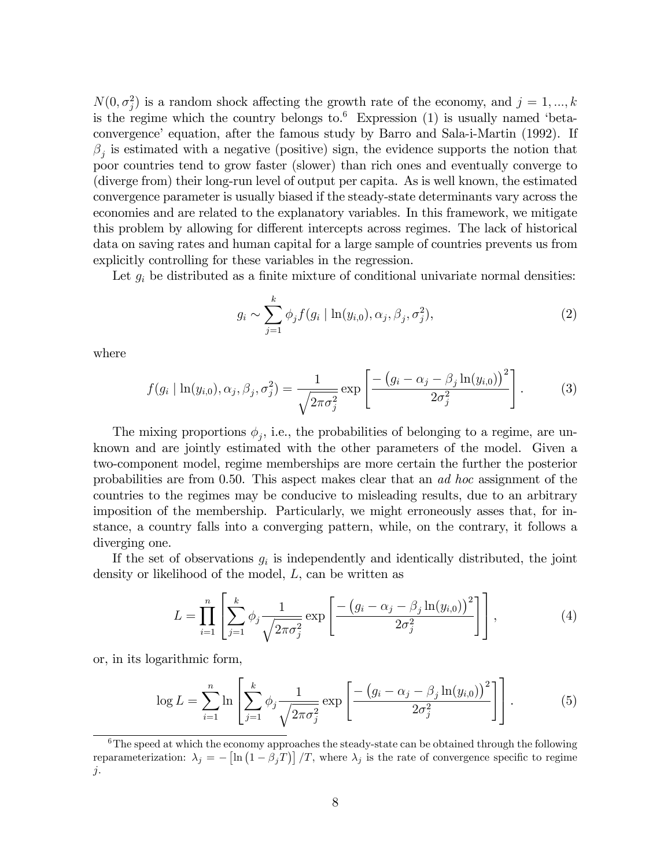$N(0, \sigma_j^2)$  is a random shock affecting the growth rate of the economy, and  $j = 1, ..., k$ is the regime which the country belongs to.<sup>6</sup> Expression  $(1)$  is usually named 'betaconvergence' equation, after the famous study by Barro and Sala-i-Martin (1992). If  $\beta_j$  is estimated with a negative (positive) sign, the evidence supports the notion that poor countries tend to grow faster (slower) than rich ones and eventually converge to (diverge from) their long-run level of output per capita. As is well known, the estimated convergence parameter is usually biased if the steady-state determinants vary across the economies and are related to the explanatory variables. In this framework, we mitigate this problem by allowing for different intercepts across regimes. The lack of historical data on saving rates and human capital for a large sample of countries prevents us from explicitly controlling for these variables in the regression.

Let  $g_i$  be distributed as a finite mixture of conditional univariate normal densities:

$$
g_i \sim \sum_{j=1}^k \phi_j f(g_i \mid \ln(y_{i,0}), \alpha_j, \beta_j, \sigma_j^2), \tag{2}
$$

where

$$
f(g_i | \ln(y_{i,0}), \alpha_j, \beta_j, \sigma_j^2) = \frac{1}{\sqrt{2\pi\sigma_j^2}} \exp\left[\frac{-\left(g_i - \alpha_j - \beta_j \ln(y_{i,0})\right)^2}{2\sigma_j^2}\right].
$$
 (3)

The mixing proportions  $\phi_j$ , i.e., the probabilities of belonging to a regime, are unknown and are jointly estimated with the other parameters of the model. Given a two-component model, regime memberships are more certain the further the posterior probabilities are from 0.50. This aspect makes clear that an ad hoc assignment of the countries to the regimes may be conducive to misleading results, due to an arbitrary imposition of the membership. Particularly, we might erroneously asses that, for instance, a country falls into a converging pattern, while, on the contrary, it follows a diverging one.

If the set of observations  $g_i$  is independently and identically distributed, the joint density or likelihood of the model, L, can be written as

$$
L = \prod_{i=1}^{n} \left[ \sum_{j=1}^{k} \phi_j \frac{1}{\sqrt{2\pi \sigma_j^2}} \exp \left[ \frac{-\left( g_i - \alpha_j - \beta_j \ln(y_{i,0}) \right)^2}{2\sigma_j^2} \right] \right],
$$
 (4)

or, in its logarithmic form,

$$
\log L = \sum_{i=1}^{n} \ln \left[ \sum_{j=1}^{k} \phi_j \frac{1}{\sqrt{2\pi \sigma_j^2}} \exp \left[ \frac{-\left( g_i - \alpha_j - \beta_j \ln(y_{i,0}) \right)^2}{2\sigma_j^2} \right] \right].
$$
 (5)

 $6$ The speed at which the economy approaches the steady-state can be obtained through the following reparameterization:  $\lambda_j = -\left[\ln(1-\beta_jT)\right]/T$ , where  $\lambda_j$  is the rate of convergence specific to regime j.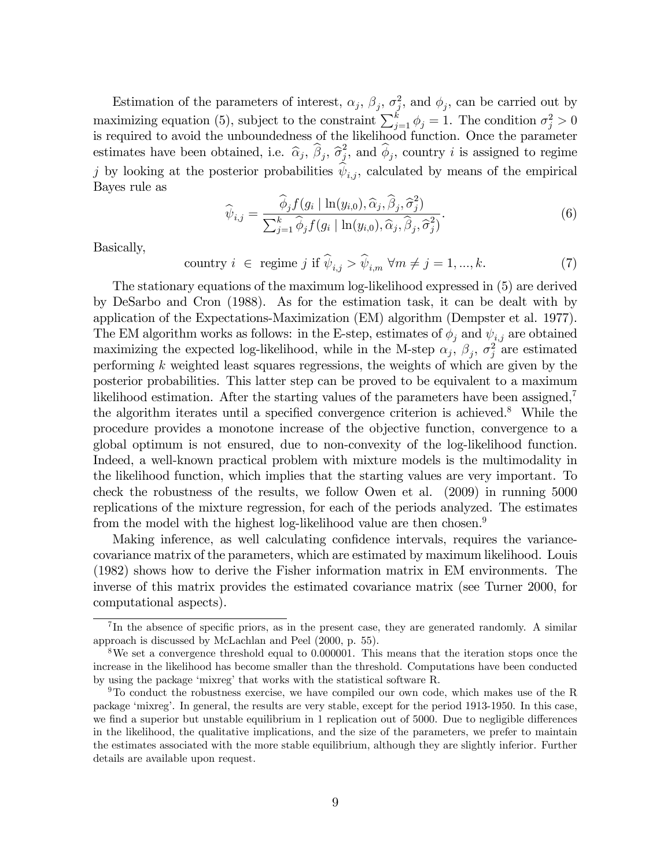Estimation of the parameters of interest,  $\alpha_j$ ,  $\beta_j$ ,  $\sigma_j^2$ , and  $\phi_j$ , can be carried out by maximizing equation (5), subject to the constraint  $\sum_{j=1}^{k} \phi_j = 1$ . The condition  $\sigma_j^2 > 0$ is required to avoid the unboundedness of the likelihood function. Once the parameter estimates have been obtained, i.e.  $\hat{\alpha}_j$ ,  $\hat{\beta}_j$ ,  $\hat{\sigma}_j^2$  $j^2$ , and  $\phi_j$ , country i is assigned to regime j by looking at the posterior probabilities  $\psi_{i,j}$ , calculated by means of the empirical Bayes rule as

$$
\widehat{\psi}_{i,j} = \frac{\widehat{\phi}_j f(g_i \mid \ln(y_{i,0}), \widehat{\alpha}_j, \widehat{\beta}_j, \widehat{\sigma}_j^2)}{\sum_{j=1}^k \widehat{\phi}_j f(g_i \mid \ln(y_{i,0}), \widehat{\alpha}_j, \widehat{\beta}_j, \widehat{\sigma}_j^2)}.
$$
\n(6)

Basically,

$$
\text{ country } i \in \text{regime } j \text{ if } \widehat{\psi}_{i,j} > \widehat{\psi}_{i,m} \ \forall m \neq j = 1, ..., k. \tag{7}
$$

The stationary equations of the maximum log-likelihood expressed in (5) are derived by DeSarbo and Cron (1988). As for the estimation task, it can be dealt with by application of the Expectations-Maximization (EM) algorithm (Dempster et al. 1977). The EM algorithm works as follows: in the E-step, estimates of  $\phi_i$  and  $\psi_{i,j}$  are obtained maximizing the expected log-likelihood, while in the M-step  $\alpha_j$ ,  $\beta_j$ ,  $\sigma_j^2$  are estimated performing  $k$  weighted least squares regressions, the weights of which are given by the posterior probabilities. This latter step can be proved to be equivalent to a maximum likelihood estimation. After the starting values of the parameters have been assigned,<sup>7</sup> the algorithm iterates until a specified convergence criterion is achieved.<sup>8</sup> While the procedure provides a monotone increase of the objective function, convergence to a global optimum is not ensured, due to non-convexity of the log-likelihood function. Indeed, a well-known practical problem with mixture models is the multimodality in the likelihood function, which implies that the starting values are very important. To check the robustness of the results, we follow Owen et al. (2009) in running 5000 replications of the mixture regression, for each of the periods analyzed. The estimates from the model with the highest log-likelihood value are then chosen.<sup>9</sup>

Making inference, as well calculating confidence intervals, requires the variancecovariance matrix of the parameters, which are estimated by maximum likelihood. Louis (1982) shows how to derive the Fisher information matrix in EM environments. The inverse of this matrix provides the estimated covariance matrix (see Turner 2000, for computational aspects).

 ${}^{7}$ In the absence of specific priors, as in the present case, they are generated randomly. A similar approach is discussed by McLachlan and Peel (2000, p. 55).

<sup>8</sup>We set a convergence threshold equal to 0.000001. This means that the iteration stops once the increase in the likelihood has become smaller than the threshold. Computations have been conducted by using the package 'mixreg' that works with the statistical software R.

<sup>&</sup>lt;sup>9</sup>To conduct the robustness exercise, we have compiled our own code, which makes use of the R package ëmixregí. In general, the results are very stable, except for the period 1913-1950. In this case, we find a superior but unstable equilibrium in 1 replication out of 5000. Due to negligible differences in the likelihood, the qualitative implications, and the size of the parameters, we prefer to maintain the estimates associated with the more stable equilibrium, although they are slightly inferior. Further details are available upon request.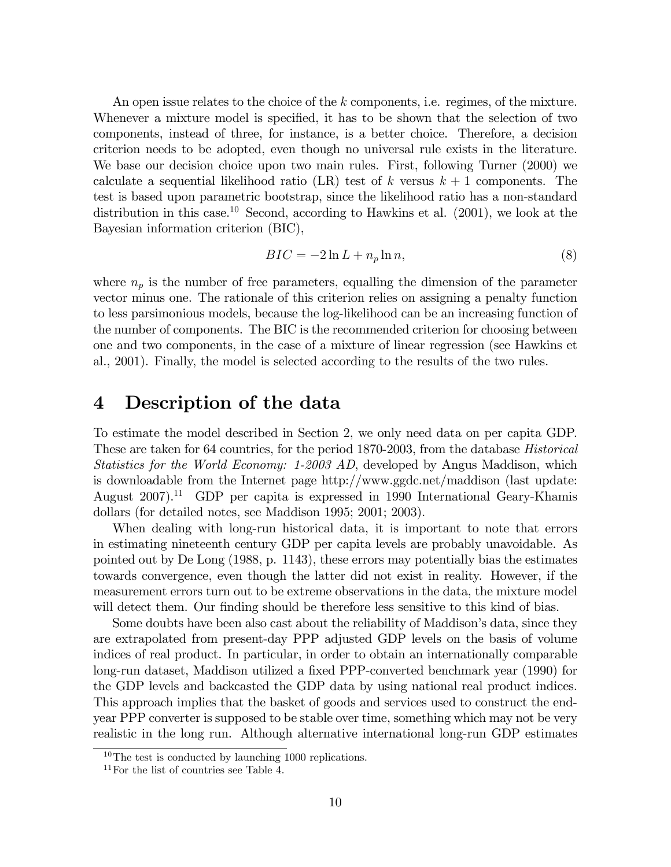An open issue relates to the choice of the k components, i.e. regimes, of the mixture. Whenever a mixture model is specified, it has to be shown that the selection of two components, instead of three, for instance, is a better choice. Therefore, a decision criterion needs to be adopted, even though no universal rule exists in the literature. We base our decision choice upon two main rules. First, following Turner (2000) we calculate a sequential likelihood ratio (LR) test of k versus  $k+1$  components. The test is based upon parametric bootstrap, since the likelihood ratio has a non-standard distribution in this case.<sup>10</sup> Second, according to Hawkins et al.  $(2001)$ , we look at the Bayesian information criterion (BIC),

$$
BIC = -2\ln L + n_p \ln n,\tag{8}
$$

where  $n_p$  is the number of free parameters, equalling the dimension of the parameter vector minus one. The rationale of this criterion relies on assigning a penalty function to less parsimonious models, because the log-likelihood can be an increasing function of the number of components. The BIC is the recommended criterion for choosing between one and two components, in the case of a mixture of linear regression (see Hawkins et al., 2001). Finally, the model is selected according to the results of the two rules.

#### 4 Description of the data

To estimate the model described in Section 2, we only need data on per capita GDP. These are taken for 64 countries, for the period 1870-2003, from the database Historical Statistics for the World Economy: 1-2003 AD, developed by Angus Maddison, which is downloadable from the Internet page http://www.ggdc.net/maddison (last update: August 2007).<sup>11</sup> GDP per capita is expressed in 1990 International Geary-Khamis dollars (for detailed notes, see Maddison 1995; 2001; 2003).

When dealing with long-run historical data, it is important to note that errors in estimating nineteenth century GDP per capita levels are probably unavoidable. As pointed out by De Long (1988, p. 1143), these errors may potentially bias the estimates towards convergence, even though the latter did not exist in reality. However, if the measurement errors turn out to be extreme observations in the data, the mixture model will detect them. Our finding should be therefore less sensitive to this kind of bias.

Some doubts have been also cast about the reliability of Maddison's data, since they are extrapolated from present-day PPP adjusted GDP levels on the basis of volume indices of real product. In particular, in order to obtain an internationally comparable long-run dataset, Maddison utilized a fixed PPP-converted benchmark year (1990) for the GDP levels and backcasted the GDP data by using national real product indices. This approach implies that the basket of goods and services used to construct the endyear PPP converter is supposed to be stable over time, something which may not be very realistic in the long run. Although alternative international long-run GDP estimates

 $10$ The test is conducted by launching 1000 replications.

<sup>11</sup>For the list of countries see Table 4.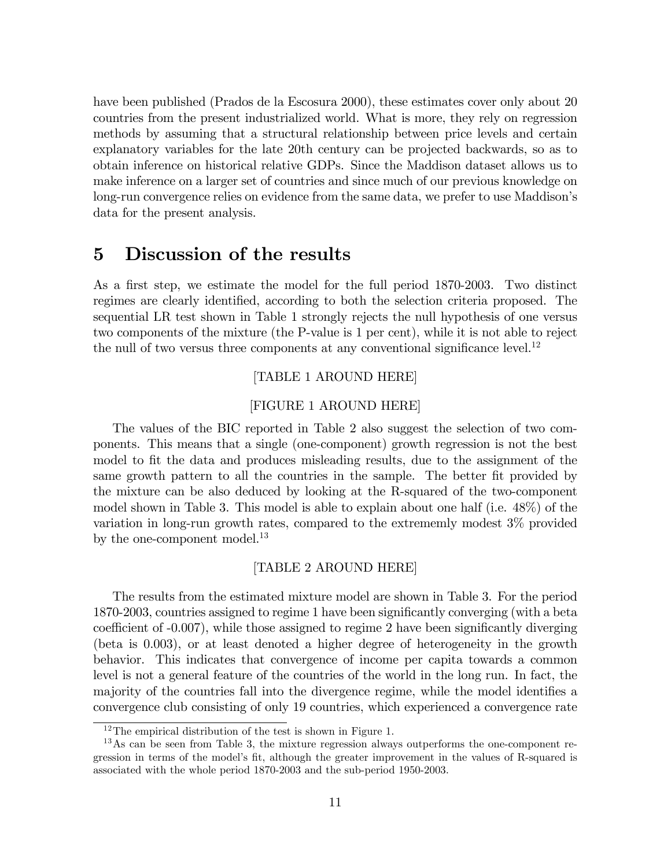have been published (Prados de la Escosura 2000), these estimates cover only about 20 countries from the present industrialized world. What is more, they rely on regression methods by assuming that a structural relationship between price levels and certain explanatory variables for the late 20th century can be projected backwards, so as to obtain inference on historical relative GDPs. Since the Maddison dataset allows us to make inference on a larger set of countries and since much of our previous knowledge on long-run convergence relies on evidence from the same data, we prefer to use Maddison's data for the present analysis.

## 5 Discussion of the results

As a first step, we estimate the model for the full period 1870-2003. Two distinct regimes are clearly identified, according to both the selection criteria proposed. The sequential LR test shown in Table 1 strongly rejects the null hypothesis of one versus two components of the mixture (the P-value is 1 per cent), while it is not able to reject the null of two versus three components at any conventional significance level.<sup>12</sup>

#### [TABLE 1 AROUND HERE]

#### [FIGURE 1 AROUND HERE]

The values of the BIC reported in Table 2 also suggest the selection of two components. This means that a single (one-component) growth regression is not the best model to fit the data and produces misleading results, due to the assignment of the same growth pattern to all the countries in the sample. The better fit provided by the mixture can be also deduced by looking at the R-squared of the two-component model shown in Table 3. This model is able to explain about one half (i.e. 48%) of the variation in long-run growth rates, compared to the extrememly modest 3% provided by the one-component model.<sup>13</sup>

#### [TABLE 2 AROUND HERE]

The results from the estimated mixture model are shown in Table 3. For the period 1870-2003, countries assigned to regime 1 have been significantly converging (with a beta coefficient of  $-0.007$ , while those assigned to regime 2 have been significantly diverging (beta is 0.003), or at least denoted a higher degree of heterogeneity in the growth behavior. This indicates that convergence of income per capita towards a common level is not a general feature of the countries of the world in the long run. In fact, the majority of the countries fall into the divergence regime, while the model identifies a convergence club consisting of only 19 countries, which experienced a convergence rate

 $12$ The empirical distribution of the test is shown in Figure 1.

<sup>&</sup>lt;sup>13</sup>As can be seen from Table 3, the mixture regression always outperforms the one-component regression in terms of the model's fit, although the greater improvement in the values of R-squared is associated with the whole period 1870-2003 and the sub-period 1950-2003.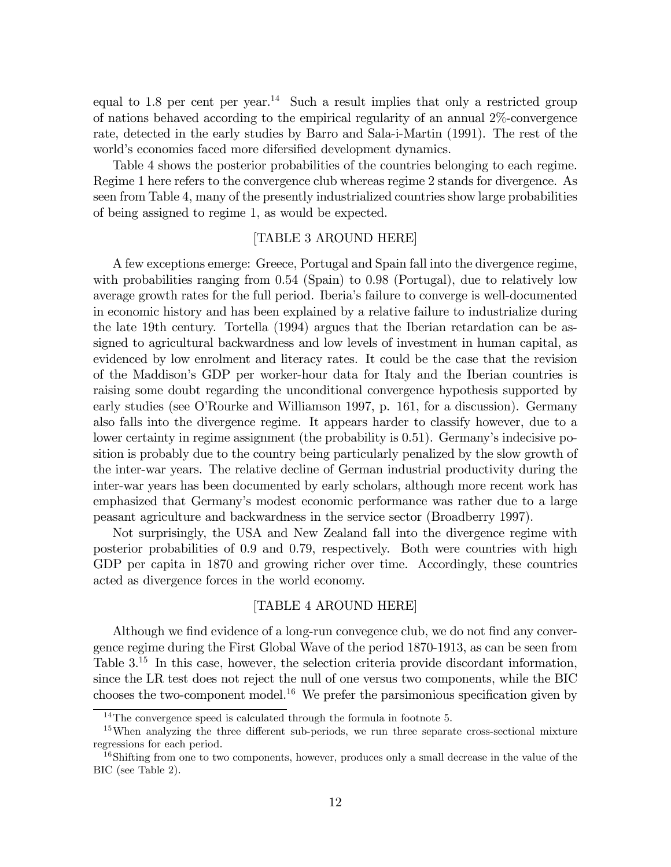equal to 1.8 per cent per year.<sup>14</sup> Such a result implies that only a restricted group of nations behaved according to the empirical regularity of an annual 2%-convergence rate, detected in the early studies by Barro and Sala-i-Martin (1991). The rest of the world's economies faced more difersified development dynamics.

Table 4 shows the posterior probabilities of the countries belonging to each regime. Regime 1 here refers to the convergence club whereas regime 2 stands for divergence. As seen from Table 4, many of the presently industrialized countries show large probabilities of being assigned to regime 1, as would be expected.

#### [TABLE 3 AROUND HERE]

A few exceptions emerge: Greece, Portugal and Spain fall into the divergence regime, with probabilities ranging from 0.54 (Spain) to 0.98 (Portugal), due to relatively low average growth rates for the full period. Iberiaís failure to converge is well-documented in economic history and has been explained by a relative failure to industrialize during the late 19th century. Tortella (1994) argues that the Iberian retardation can be assigned to agricultural backwardness and low levels of investment in human capital, as evidenced by low enrolment and literacy rates. It could be the case that the revision of the Maddisonís GDP per worker-hour data for Italy and the Iberian countries is raising some doubt regarding the unconditional convergence hypothesis supported by early studies (see O'Rourke and Williamson 1997, p. 161, for a discussion). Germany also falls into the divergence regime. It appears harder to classify however, due to a lower certainty in regime assignment (the probability is 0.51). Germany's indecisive position is probably due to the country being particularly penalized by the slow growth of the inter-war years. The relative decline of German industrial productivity during the inter-war years has been documented by early scholars, although more recent work has emphasized that Germanyís modest economic performance was rather due to a large peasant agriculture and backwardness in the service sector (Broadberry 1997).

Not surprisingly, the USA and New Zealand fall into the divergence regime with posterior probabilities of 0.9 and 0.79, respectively. Both were countries with high GDP per capita in 1870 and growing richer over time. Accordingly, these countries acted as divergence forces in the world economy.

#### [TABLE 4 AROUND HERE]

Although we find evidence of a long-run convegence club, we do not find any convergence regime during the First Global Wave of the period 1870-1913, as can be seen from Table  $3^{15}$  In this case, however, the selection criteria provide discordant information, since the LR test does not reject the null of one versus two components, while the BIC chooses the two-component model.<sup>16</sup> We prefer the parsimonious specification given by

 $14$ The convergence speed is calculated through the formula in footnote 5.

<sup>&</sup>lt;sup>15</sup>When analyzing the three different sub-periods, we run three separate cross-sectional mixture regressions for each period.

<sup>&</sup>lt;sup>16</sup>Shifting from one to two components, however, produces only a small decrease in the value of the BIC (see Table 2).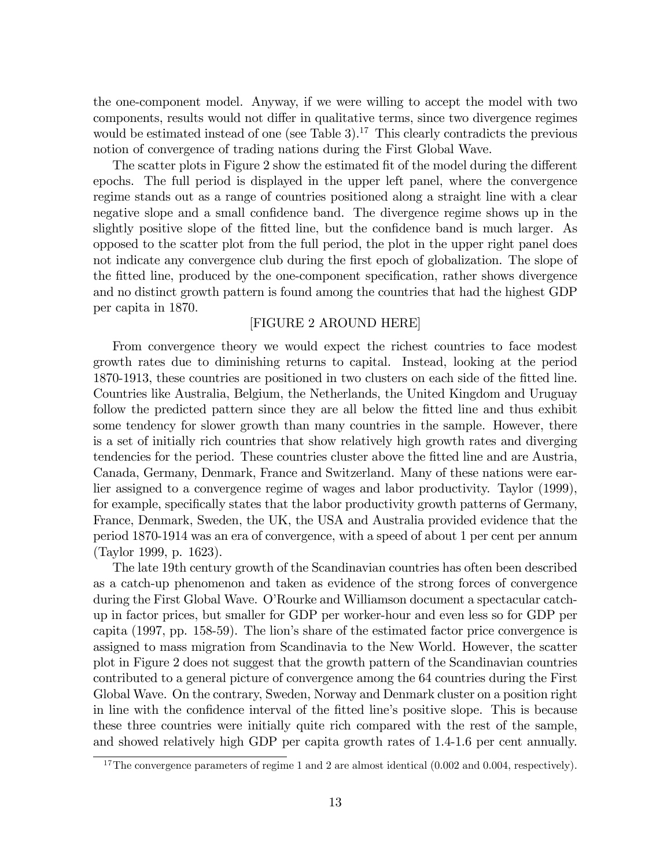the one-component model. Anyway, if we were willing to accept the model with two components, results would not differ in qualitative terms, since two divergence regimes would be estimated instead of one (see Table 3).<sup>17</sup> This clearly contradicts the previous notion of convergence of trading nations during the First Global Wave.

The scatter plots in Figure 2 show the estimated fit of the model during the different epochs. The full period is displayed in the upper left panel, where the convergence regime stands out as a range of countries positioned along a straight line with a clear negative slope and a small confidence band. The divergence regime shows up in the slightly positive slope of the fitted line, but the confidence band is much larger. As opposed to the scatter plot from the full period, the plot in the upper right panel does not indicate any convergence club during the first epoch of globalization. The slope of the fitted line, produced by the one-component specification, rather shows divergence and no distinct growth pattern is found among the countries that had the highest GDP per capita in 1870.

#### [FIGURE 2 AROUND HERE]

From convergence theory we would expect the richest countries to face modest growth rates due to diminishing returns to capital. Instead, looking at the period 1870-1913, these countries are positioned in two clusters on each side of the fitted line. Countries like Australia, Belgium, the Netherlands, the United Kingdom and Uruguay follow the predicted pattern since they are all below the fitted line and thus exhibit some tendency for slower growth than many countries in the sample. However, there is a set of initially rich countries that show relatively high growth rates and diverging tendencies for the period. These countries cluster above the fitted line and are Austria, Canada, Germany, Denmark, France and Switzerland. Many of these nations were earlier assigned to a convergence regime of wages and labor productivity. Taylor (1999), for example, specifically states that the labor productivity growth patterns of Germany, France, Denmark, Sweden, the UK, the USA and Australia provided evidence that the period 1870-1914 was an era of convergence, with a speed of about 1 per cent per annum (Taylor 1999, p. 1623).

The late 19th century growth of the Scandinavian countries has often been described as a catch-up phenomenon and taken as evidence of the strong forces of convergence during the First Global Wave. O'Rourke and Williamson document a spectacular catchup in factor prices, but smaller for GDP per worker-hour and even less so for GDP per capita (1997, pp. 158-59). The lionís share of the estimated factor price convergence is assigned to mass migration from Scandinavia to the New World. However, the scatter plot in Figure 2 does not suggest that the growth pattern of the Scandinavian countries contributed to a general picture of convergence among the 64 countries during the First Global Wave. On the contrary, Sweden, Norway and Denmark cluster on a position right in line with the confidence interval of the fitted line's positive slope. This is because these three countries were initially quite rich compared with the rest of the sample, and showed relatively high GDP per capita growth rates of 1.4-1.6 per cent annually.

 $17$ The convergence parameters of regime 1 and 2 are almost identical (0.002 and 0.004, respectively).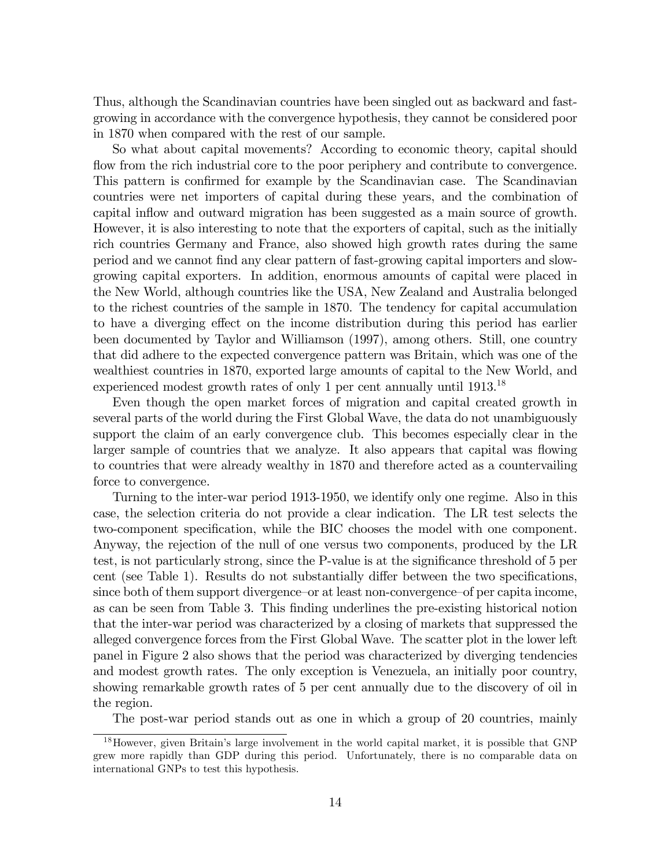Thus, although the Scandinavian countries have been singled out as backward and fastgrowing in accordance with the convergence hypothesis, they cannot be considered poor in 1870 when compared with the rest of our sample.

So what about capital movements? According to economic theory, capital should flow from the rich industrial core to the poor periphery and contribute to convergence. This pattern is confirmed for example by the Scandinavian case. The Scandinavian countries were net importers of capital during these years, and the combination of capital inflow and outward migration has been suggested as a main source of growth. However, it is also interesting to note that the exporters of capital, such as the initially rich countries Germany and France, also showed high growth rates during the same period and we cannot Önd any clear pattern of fast-growing capital importers and slowgrowing capital exporters. In addition, enormous amounts of capital were placed in the New World, although countries like the USA, New Zealand and Australia belonged to the richest countries of the sample in 1870. The tendency for capital accumulation to have a diverging effect on the income distribution during this period has earlier been documented by Taylor and Williamson (1997), among others. Still, one country that did adhere to the expected convergence pattern was Britain, which was one of the wealthiest countries in 1870, exported large amounts of capital to the New World, and experienced modest growth rates of only 1 per cent annually until 1913.<sup>18</sup>

Even though the open market forces of migration and capital created growth in several parts of the world during the First Global Wave, the data do not unambiguously support the claim of an early convergence club. This becomes especially clear in the larger sample of countries that we analyze. It also appears that capital was flowing to countries that were already wealthy in 1870 and therefore acted as a countervailing force to convergence.

Turning to the inter-war period 1913-1950, we identify only one regime. Also in this case, the selection criteria do not provide a clear indication. The LR test selects the two-component specification, while the BIC chooses the model with one component. Anyway, the rejection of the null of one versus two components, produced by the LR test, is not particularly strong, since the P-value is at the significance threshold of 5 per cent (see Table 1). Results do not substantially differ between the two specifications, since both of them support divergence–or at least non-convergence–of per capita income, as can be seen from Table 3. This Önding underlines the pre-existing historical notion that the inter-war period was characterized by a closing of markets that suppressed the alleged convergence forces from the First Global Wave. The scatter plot in the lower left panel in Figure 2 also shows that the period was characterized by diverging tendencies and modest growth rates. The only exception is Venezuela, an initially poor country, showing remarkable growth rates of 5 per cent annually due to the discovery of oil in the region.

The post-war period stands out as one in which a group of 20 countries, mainly

<sup>&</sup>lt;sup>18</sup>However, given Britain's large involvement in the world capital market, it is possible that GNP grew more rapidly than GDP during this period. Unfortunately, there is no comparable data on international GNPs to test this hypothesis.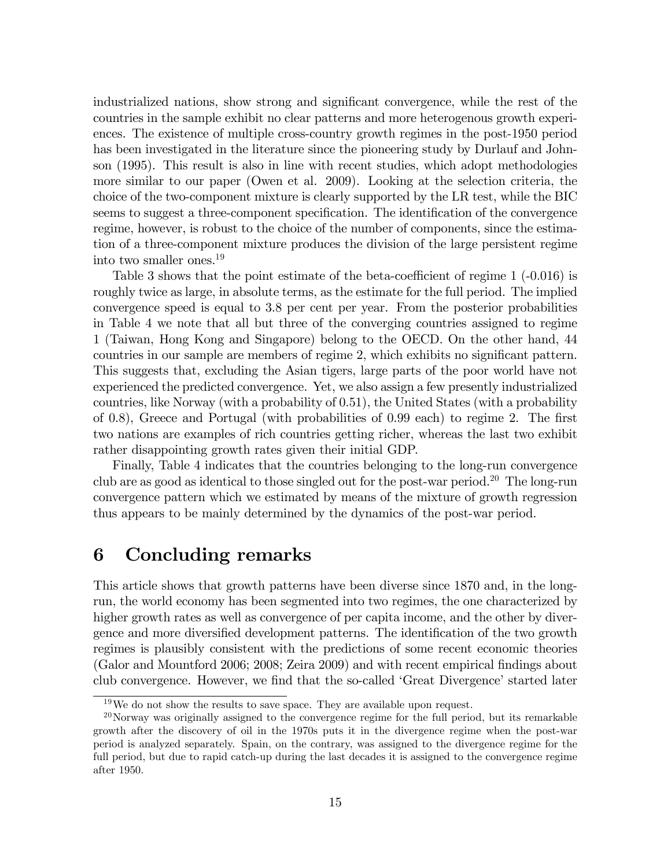industrialized nations, show strong and significant convergence, while the rest of the countries in the sample exhibit no clear patterns and more heterogenous growth experiences. The existence of multiple cross-country growth regimes in the post-1950 period has been investigated in the literature since the pioneering study by Durlauf and Johnson (1995). This result is also in line with recent studies, which adopt methodologies more similar to our paper (Owen et al. 2009). Looking at the selection criteria, the choice of the two-component mixture is clearly supported by the LR test, while the BIC seems to suggest a three-component specification. The identification of the convergence regime, however, is robust to the choice of the number of components, since the estimation of a three-component mixture produces the division of the large persistent regime into two smaller ones.<sup>19</sup>

Table 3 shows that the point estimate of the beta-coefficient of regime  $1$  (-0.016) is roughly twice as large, in absolute terms, as the estimate for the full period. The implied convergence speed is equal to 3.8 per cent per year. From the posterior probabilities in Table 4 we note that all but three of the converging countries assigned to regime 1 (Taiwan, Hong Kong and Singapore) belong to the OECD. On the other hand, 44 countries in our sample are members of regime 2, which exhibits no significant pattern. This suggests that, excluding the Asian tigers, large parts of the poor world have not experienced the predicted convergence. Yet, we also assign a few presently industrialized countries, like Norway (with a probability of 0.51), the United States (with a probability of 0.8), Greece and Portugal (with probabilities of  $0.99$  each) to regime 2. The first two nations are examples of rich countries getting richer, whereas the last two exhibit rather disappointing growth rates given their initial GDP.

Finally, Table 4 indicates that the countries belonging to the long-run convergence club are as good as identical to those singled out for the post-war period.<sup>20</sup> The long-run convergence pattern which we estimated by means of the mixture of growth regression thus appears to be mainly determined by the dynamics of the post-war period.

## 6 Concluding remarks

This article shows that growth patterns have been diverse since 1870 and, in the longrun, the world economy has been segmented into two regimes, the one characterized by higher growth rates as well as convergence of per capita income, and the other by divergence and more diversified development patterns. The identification of the two growth regimes is plausibly consistent with the predictions of some recent economic theories (Galor and Mountford 2006; 2008; Zeira 2009) and with recent empirical findings about club convergence. However, we find that the so-called 'Great Divergence' started later

 $19\,\text{We}$  do not show the results to save space. They are available upon request.

 $^{20}$ Norway was originally assigned to the convergence regime for the full period, but its remarkable growth after the discovery of oil in the 1970s puts it in the divergence regime when the post-war period is analyzed separately. Spain, on the contrary, was assigned to the divergence regime for the full period, but due to rapid catch-up during the last decades it is assigned to the convergence regime after 1950.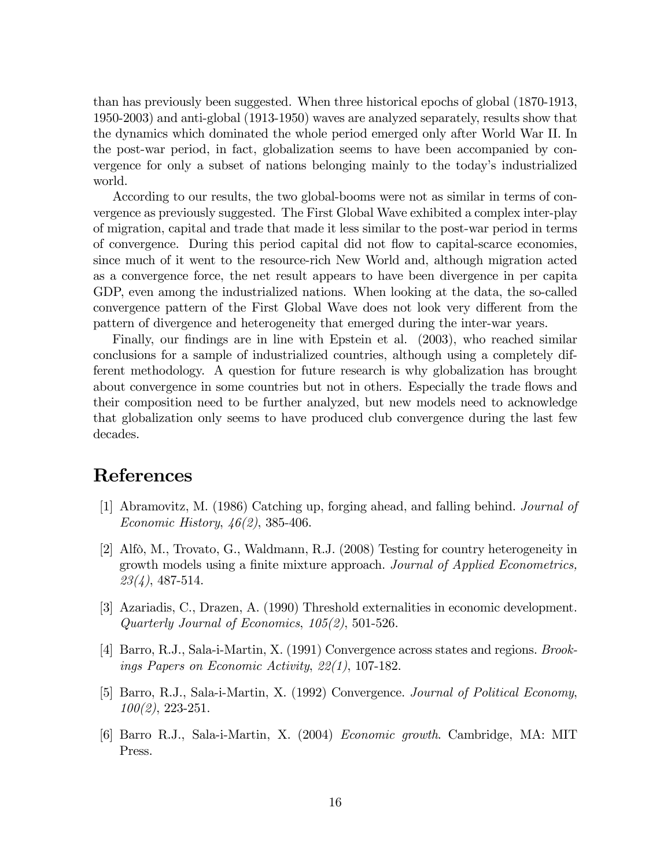than has previously been suggested. When three historical epochs of global (1870-1913, 1950-2003) and anti-global (1913-1950) waves are analyzed separately, results show that the dynamics which dominated the whole period emerged only after World War II. In the post-war period, in fact, globalization seems to have been accompanied by convergence for only a subset of nations belonging mainly to the today's industrialized world.

According to our results, the two global-booms were not as similar in terms of convergence as previously suggested. The First Global Wave exhibited a complex inter-play of migration, capital and trade that made it less similar to the post-war period in terms of convergence. During this period capital did not áow to capital-scarce economies, since much of it went to the resource-rich New World and, although migration acted as a convergence force, the net result appears to have been divergence in per capita GDP, even among the industrialized nations. When looking at the data, the so-called convergence pattern of the First Global Wave does not look very different from the pattern of divergence and heterogeneity that emerged during the inter-war years.

Finally, our findings are in line with Epstein et al. (2003), who reached similar conclusions for a sample of industrialized countries, although using a completely different methodology. A question for future research is why globalization has brought about convergence in some countries but not in others. Especially the trade flows and their composition need to be further analyzed, but new models need to acknowledge that globalization only seems to have produced club convergence during the last few decades.

## References

- [1] Abramovitz, M. (1986) Catching up, forging ahead, and falling behind. Journal of Economic History, 46(2), 385-406.
- [2] Alfò, M., Trovato, G., Waldmann, R.J.  $(2008)$  Testing for country heterogeneity in growth models using a finite mixture approach. Journal of Applied Econometrics,  $23(4)$ , 487-514.
- [3] Azariadis, C., Drazen, A. (1990) Threshold externalities in economic development. Quarterly Journal of Economics, 105(2), 501-526.
- [4] Barro, R.J., Sala-i-Martin, X. (1991) Convergence across states and regions. Brookings Papers on Economic Activity, 22(1), 107-182.
- [5] Barro, R.J., Sala-i-Martin, X. (1992) Convergence. Journal of Political Economy,  $100(2)$ , 223-251.
- [6] Barro R.J., Sala-i-Martin, X. (2004) Economic growth. Cambridge, MA: MIT Press.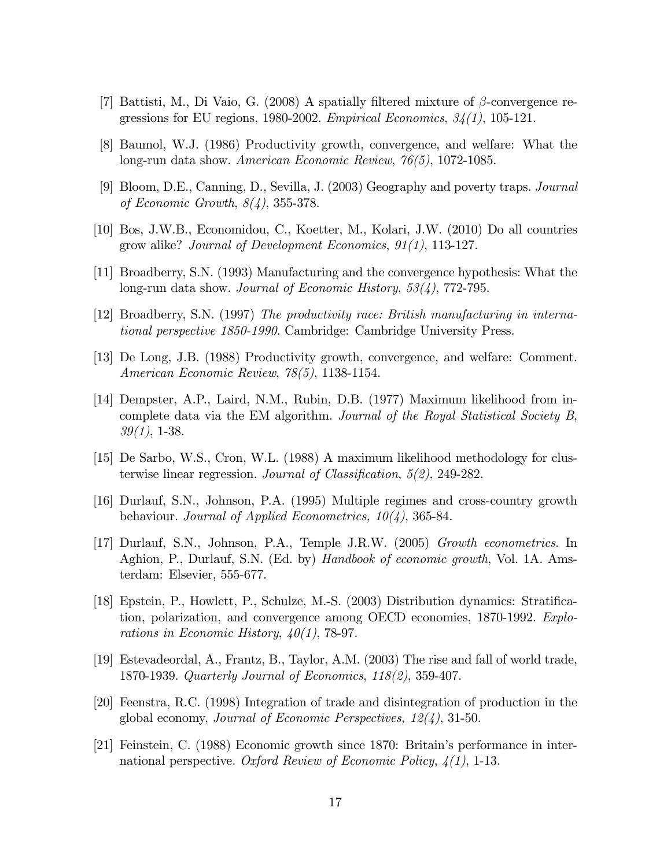- [7] Battisti, M., Di Vaio, G. (2008) A spatially filtered mixture of  $\beta$ -convergence regressions for EU regions, 1980-2002. *Empirical Economics*,  $34(1)$ , 105-121.
- [8] Baumol, W.J. (1986) Productivity growth, convergence, and welfare: What the long-run data show. American Economic Review, 76(5), 1072-1085.
- [9] Bloom, D.E., Canning, D., Sevilla, J. (2003) Geography and poverty traps. Journal of Economic Growth, 8(4), 355-378.
- [10] Bos, J.W.B., Economidou, C., Koetter, M., Kolari, J.W. (2010) Do all countries grow alike? Journal of Development Economics, 91(1), 113-127.
- [11] Broadberry, S.N. (1993) Manufacturing and the convergence hypothesis: What the long-run data show. Journal of Economic History, 53(4), 772-795.
- [12] Broadberry, S.N. (1997) The productivity race: British manufacturing in international perspective 1850-1990. Cambridge: Cambridge University Press.
- [13] De Long, J.B. (1988) Productivity growth, convergence, and welfare: Comment. American Economic Review, 78(5), 1138-1154.
- [14] Dempster, A.P., Laird, N.M., Rubin, D.B. (1977) Maximum likelihood from incomplete data via the EM algorithm. Journal of the Royal Statistical Society B,  $39(1)$ , 1-38.
- [15] De Sarbo, W.S., Cron, W.L. (1988) A maximum likelihood methodology for clusterwise linear regression. Journal of Classification,  $5(2)$ , 249-282.
- [16] Durlauf, S.N., Johnson, P.A. (1995) Multiple regimes and cross-country growth behaviour. Journal of Applied Econometrics,  $10(4)$ , 365-84.
- [17] Durlauf, S.N., Johnson, P.A., Temple J.R.W. (2005) Growth econometrics. In Aghion, P., Durlauf, S.N. (Ed. by) Handbook of economic growth, Vol. 1A. Amsterdam: Elsevier, 555-677.
- [18] Epstein, P., Howlett, P., Schulze, M.-S. (2003) Distribution dynamics: Stratification, polarization, and convergence among OECD economies, 1870-1992. Explorations in Economic History,  $40(1)$ , 78-97.
- [19] Estevadeordal, A., Frantz, B., Taylor, A.M. (2003) The rise and fall of world trade, 1870-1939. Quarterly Journal of Economics, 118(2), 359-407.
- [20] Feenstra, R.C. (1998) Integration of trade and disintegration of production in the global economy, Journal of Economic Perspectives, 12(4), 31-50.
- [21] Feinstein, C. (1988) Economic growth since 1870: Britain's performance in international perspective. Oxford Review of Economic Policy,  $\mathcal{A}(1)$ , 1-13.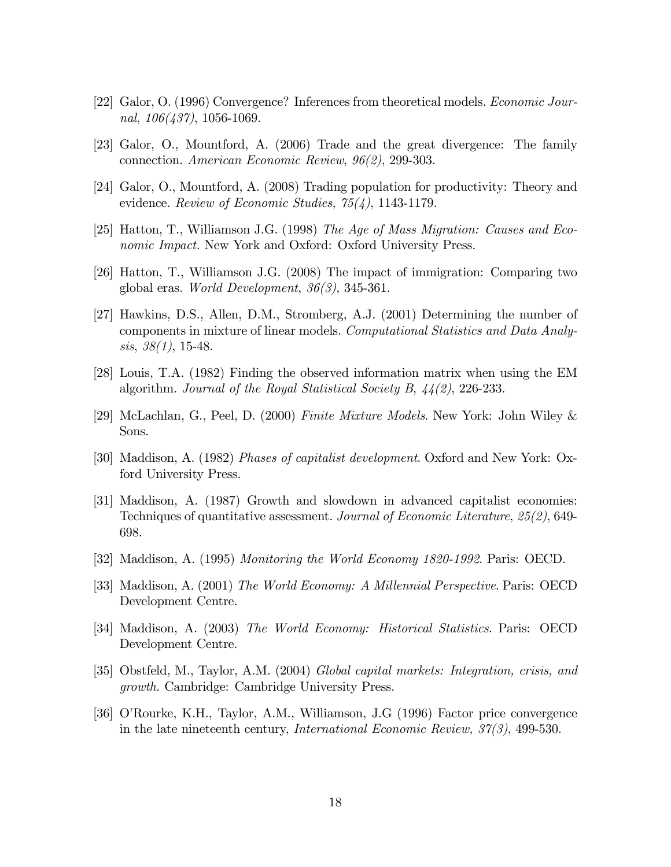- [22] Galor, O. (1996) Convergence? Inferences from theoretical models. Economic Journal,  $106(437)$ , 1056-1069.
- [23] Galor, O., Mountford, A. (2006) Trade and the great divergence: The family connection. American Economic Review, 96(2), 299-303.
- [24] Galor, O., Mountford, A. (2008) Trading population for productivity: Theory and evidence. Review of Economic Studies,  $75(4)$ , 1143-1179.
- [25] Hatton, T., Williamson J.G. (1998) The Age of Mass Migration: Causes and Economic Impact. New York and Oxford: Oxford University Press.
- [26] Hatton, T., Williamson J.G. (2008) The impact of immigration: Comparing two global eras. World Development, 36(3), 345-361.
- [27] Hawkins, D.S., Allen, D.M., Stromberg, A.J. (2001) Determining the number of components in mixture of linear models. Computational Statistics and Data Analy $sis, 38(1), 15-48.$
- [28] Louis, T.A. (1982) Finding the observed information matrix when using the EM algorithm. Journal of the Royal Statistical Society B, 44(2), 226-233.
- [29] McLachlan, G., Peel, D. (2000) Finite Mixture Models. New York: John Wiley & Sons.
- [30] Maddison, A. (1982) Phases of capitalist development. Oxford and New York: Oxford University Press.
- [31] Maddison, A. (1987) Growth and slowdown in advanced capitalist economies: Techniques of quantitative assessment. Journal of Economic Literature, 25(2), 649- 698.
- [32] Maddison, A. (1995) Monitoring the World Economy 1820-1992. Paris: OECD.
- [33] Maddison, A. (2001) The World Economy: A Millennial Perspective. Paris: OECD Development Centre.
- [34] Maddison, A. (2003) The World Economy: Historical Statistics. Paris: OECD Development Centre.
- [35] Obstfeld, M., Taylor, A.M. (2004) Global capital markets: Integration, crisis, and growth. Cambridge: Cambridge University Press.
- [36] OíRourke, K.H., Taylor, A.M., Williamson, J.G (1996) Factor price convergence in the late nineteenth century, International Economic Review, 37(3), 499-530.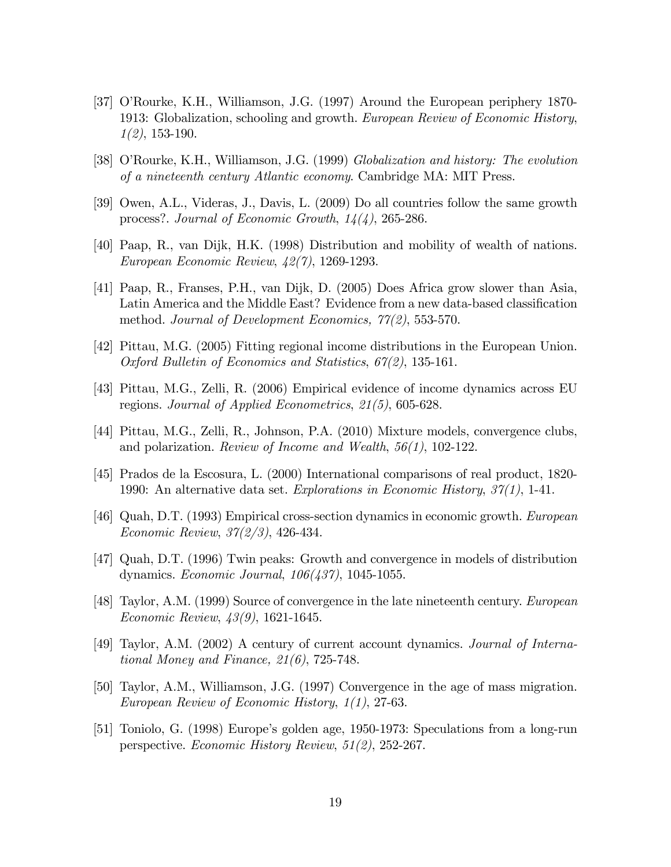- [37] O'Rourke, K.H., Williamson, J.G. (1997) Around the European periphery 1870-1913: Globalization, schooling and growth. European Review of Economic History,  $1(2)$ , 153-190.
- [38] O'Rourke, K.H., Williamson, J.G. (1999) *Globalization and history: The evolution* of a nineteenth century Atlantic economy. Cambridge MA: MIT Press.
- [39] Owen, A.L., Videras, J., Davis, L. (2009) Do all countries follow the same growth process?. Journal of Economic Growth, 14(4), 265-286.
- [40] Paap, R., van Dijk, H.K. (1998) Distribution and mobility of wealth of nations. European Economic Review, 42(7), 1269-1293.
- [41] Paap, R., Franses, P.H., van Dijk, D. (2005) Does Africa grow slower than Asia, Latin America and the Middle East? Evidence from a new data-based classification method. Journal of Development Economics, 77(2), 553-570.
- [42] Pittau, M.G. (2005) Fitting regional income distributions in the European Union. Oxford Bulletin of Economics and Statistics, 67(2), 135-161.
- [43] Pittau, M.G., Zelli, R. (2006) Empirical evidence of income dynamics across EU regions. Journal of Applied Econometrics, 21(5), 605-628.
- [44] Pittau, M.G., Zelli, R., Johnson, P.A. (2010) Mixture models, convergence clubs, and polarization. Review of Income and Wealth, 56(1), 102-122.
- [45] Prados de la Escosura, L. (2000) International comparisons of real product, 1820- 1990: An alternative data set. Explorations in Economic History, 37(1), 1-41.
- [46] Quah, D.T. (1993) Empirical cross-section dynamics in economic growth. European Economic Review, 37(2/3), 426-434.
- [47] Quah, D.T. (1996) Twin peaks: Growth and convergence in models of distribution dynamics. Economic Journal, 106(437), 1045-1055.
- [48] Taylor, A.M. (1999) Source of convergence in the late nineteenth century. European Economic Review, 43(9), 1621-1645.
- [49] Taylor, A.M. (2002) A century of current account dynamics. Journal of International Money and Finance, 21(6), 725-748.
- [50] Taylor, A.M., Williamson, J.G. (1997) Convergence in the age of mass migration. European Review of Economic History, 1(1), 27-63.
- [51] Toniolo, G. (1998) Europe's golden age, 1950-1973: Speculations from a long-run perspective. Economic History Review, 51(2), 252-267.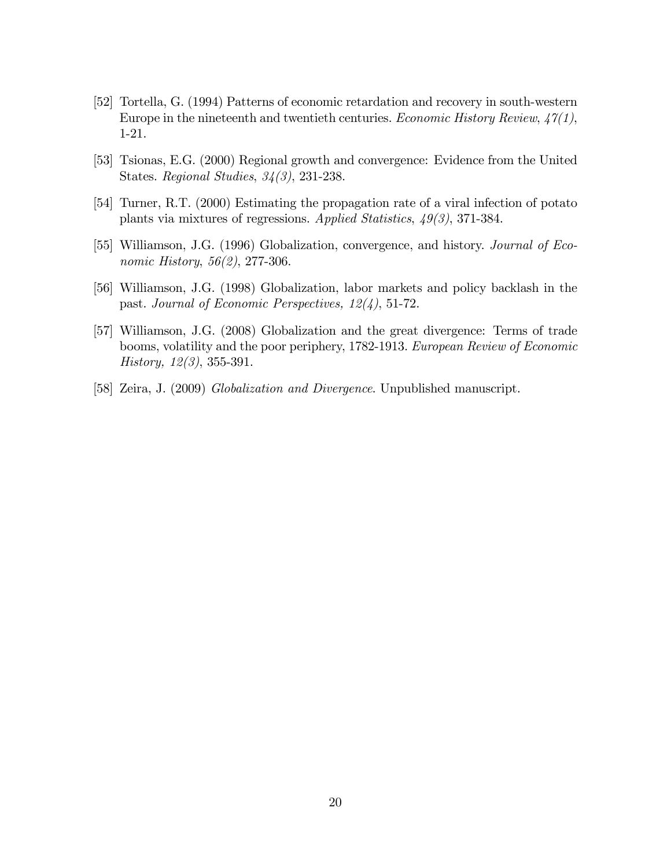- [52] Tortella, G. (1994) Patterns of economic retardation and recovery in south-western Europe in the nineteenth and twentieth centuries. *Economic History Review*,  $47(1)$ , 1-21.
- [53] Tsionas, E.G. (2000) Regional growth and convergence: Evidence from the United States. Regional Studies, 34(3), 231-238.
- [54] Turner, R.T. (2000) Estimating the propagation rate of a viral infection of potato plants via mixtures of regressions. Applied Statistics, 49(3), 371-384.
- [55] Williamson, J.G. (1996) Globalization, convergence, and history. Journal of Economic History, 56(2), 277-306.
- [56] Williamson, J.G. (1998) Globalization, labor markets and policy backlash in the past. Journal of Economic Perspectives, 12(4), 51-72.
- [57] Williamson, J.G. (2008) Globalization and the great divergence: Terms of trade booms, volatility and the poor periphery, 1782-1913. European Review of Economic History, 12(3), 355-391.
- [58] Zeira, J. (2009) Globalization and Divergence. Unpublished manuscript.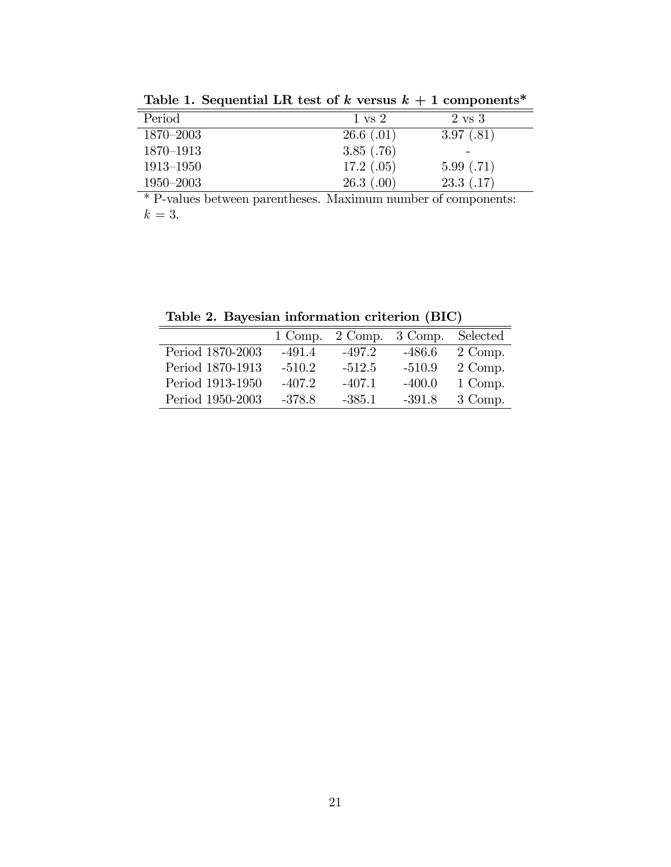| $\frac{1}{2}$ . The sequence is the contract of $\frac{1}{2}$ . The second $\frac{1}{2}$ is the sequence of $\frac{1}{2}$ |                   |                   |
|---------------------------------------------------------------------------------------------------------------------------|-------------------|-------------------|
| Period                                                                                                                    | $1 \text{ vs } 2$ | $2 \text{ vs } 3$ |
| $1870 - 2003$                                                                                                             | $26.6$ $(.01)$    | 3.97(.81)         |
| 1870-1913                                                                                                                 | 3.85(.76)         |                   |
| $1913 - 1950$                                                                                                             | 17.2(0.05)        | 5.99(0.71)        |
| $1950 - 2003$                                                                                                             | 26.3(0)           | 23.3(0.17)        |

Table 1. Sequential LR test of  $k$  versus  $k + 1$  components\*

\* P-values between parentheses. Maximum number of components:  $k=3$ .

Table 2. Bayesian information criterion (BIC)

|                  | 1 Comp.  |          | $2$ Comp. $3$ Comp. | Selected |
|------------------|----------|----------|---------------------|----------|
| Period 1870-2003 | $-491.4$ | $-497.2$ | $-486.6$            | 2 Comp.  |
| Period 1870-1913 | $-510.2$ | $-512.5$ | $-510.9$            | 2 Comp.  |
| Period 1913-1950 | $-407.2$ | $-407.1$ | $-400.0$            | 1 Comp.  |
| Period 1950-2003 | $-378.8$ | $-385.1$ | $-391.8$            | 3 Comp.  |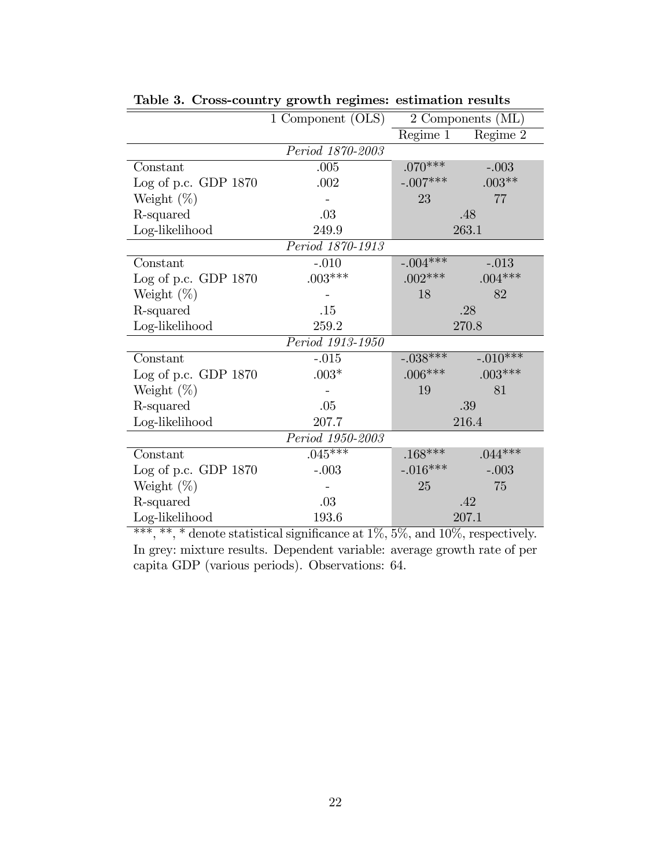|                                 | 1 Component (OLS) | 2 Components (ML) |            |  |  |
|---------------------------------|-------------------|-------------------|------------|--|--|
|                                 |                   | Regime $1$        | Regime 2   |  |  |
|                                 | Period 1870-2003  |                   |            |  |  |
| Constant                        | .005              | $.070***$         | $-.003$    |  |  |
| Log of p.c. GDP $1870$          | .002              | $-.007***$        | $.003**$   |  |  |
| Weight $(\%)$                   |                   | 23                | 77         |  |  |
| R-squared                       | .03               |                   | .48        |  |  |
| Log-likelihood                  | 249.9             | 263.1             |            |  |  |
|                                 | Period 1870-1913  |                   |            |  |  |
| Constant                        | $-.010$           | $-.004***$        | $-.013$    |  |  |
| Log of p.c. GDP $1870$          | $.003***$         | $.002***$         | $.004***$  |  |  |
| Weight $(\%)$                   |                   | 18                | 82         |  |  |
| R-squared                       | .15               | .28               |            |  |  |
| Log-likelihood                  | 259.2             | 270.8             |            |  |  |
| $\overline{Period\ 1913}$ -1950 |                   |                   |            |  |  |
| Constant                        | $-.015$           | $-.038***$        | $-.010***$ |  |  |
| Log of p.c. GDP $1870$          | $.003*$           | $.006***$         | $.003***$  |  |  |
| Weight $(\%)$                   |                   | 19<br>81          |            |  |  |
| R-squared                       | .05               | .39               |            |  |  |
| Log-likelihood                  | 207.7             | 216.4             |            |  |  |
| Period 1950-2003                |                   |                   |            |  |  |
| Constant                        | $.045***$         | $.168***$         | $.044***$  |  |  |
| Log of p.c. GDP $1870$          | $-.003$           | $-.016***$        | $-.003$    |  |  |
| Weight $(\%)$                   |                   | 75<br>25          |            |  |  |
| R-squared                       | .03               | .42               |            |  |  |
| Log-likelihood                  | 193.6             | 207.1             |            |  |  |

Table 3. Cross-country growth regimes: estimation results

\*\*\*, \*\*, \* denote statistical significance at  $1\%$ ,  $5\%$ , and  $10\%$ , respectively. In grey: mixture results. Dependent variable: average growth rate of per capita GDP (various periods). Observations: 64.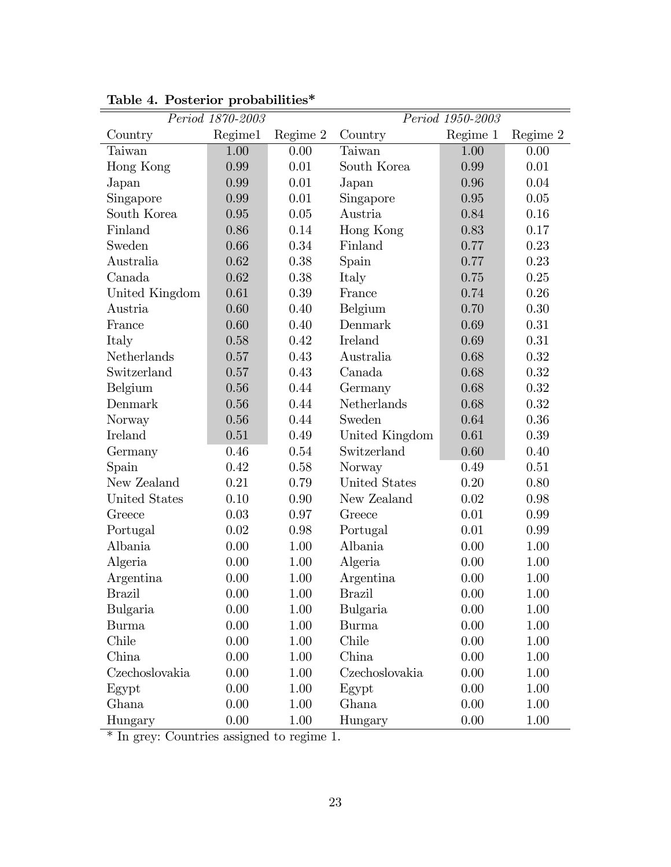| Period 1870-2003     |         |          | Period 1950-2003 |          |          |  |
|----------------------|---------|----------|------------------|----------|----------|--|
| Country              | Regime1 | Regime 2 | Country          | Regime 1 | Regime 2 |  |
| Taiwan               | 1.00    | 0.00     | Taiwan           | 1.00     | 0.00     |  |
| Hong Kong            | 0.99    | 0.01     | South Korea      | 0.99     | 0.01     |  |
| Japan                | 0.99    | 0.01     | Japan            | 0.96     | 0.04     |  |
| Singapore            | 0.99    | 0.01     | Singapore        | 0.95     | 0.05     |  |
| South Korea          | 0.95    | 0.05     | Austria          | 0.84     | 0.16     |  |
| Finland              | 0.86    | 0.14     | Hong Kong        | 0.83     | 0.17     |  |
| Sweden               | 0.66    | 0.34     | Finland          | 0.77     | 0.23     |  |
| Australia            | 0.62    | 0.38     | Spain            | 0.77     | 0.23     |  |
| Canada               | 0.62    | 0.38     | Italy            | 0.75     | 0.25     |  |
| United Kingdom       | 0.61    | 0.39     | France           | 0.74     | 0.26     |  |
| Austria              | 0.60    | 0.40     | Belgium          | 0.70     | 0.30     |  |
| France               | 0.60    | 0.40     | Denmark          | 0.69     | 0.31     |  |
| Italy                | 0.58    | 0.42     | Ireland          | 0.69     | 0.31     |  |
| Netherlands          | 0.57    | 0.43     | Australia        | 0.68     | 0.32     |  |
| Switzerland          | 0.57    | 0.43     | Canada           | 0.68     | 0.32     |  |
| Belgium              | 0.56    | 0.44     | Germany          | 0.68     | 0.32     |  |
| Denmark              | 0.56    | 0.44     | Netherlands      | 0.68     | 0.32     |  |
| Norway               | 0.56    | 0.44     | Sweden           | 0.64     | 0.36     |  |
| Ireland              | 0.51    | 0.49     | United Kingdom   | 0.61     | 0.39     |  |
| Germany              | 0.46    | 0.54     | Switzerland      | 0.60     | 0.40     |  |
| Spain                | 0.42    | 0.58     | Norway           | 0.49     | 0.51     |  |
| New Zealand          | 0.21    | 0.79     | United States    | 0.20     | 0.80     |  |
| <b>United States</b> | 0.10    | 0.90     | New Zealand      | 0.02     | 0.98     |  |
| Greece               | 0.03    | 0.97     | Greece           | 0.01     | 0.99     |  |
| Portugal             | 0.02    | 0.98     | Portugal         | 0.01     | 0.99     |  |
| Albania              | 0.00    | 1.00     | Albania          | 0.00     | 1.00     |  |
| Algeria              | 0.00    | 1.00     | Algeria          | 0.00     | 1.00     |  |
| Argentina            | 0.00    | 1.00     | Argentina        | 0.00     | 1.00     |  |
| <b>Brazil</b>        | 0.00    | 1.00     | <b>Brazil</b>    | 0.00     | 1.00     |  |
| Bulgaria             | 0.00    | 1.00     | Bulgaria         | 0.00     | 1.00     |  |
| <b>Burma</b>         | 0.00    | 1.00     | <b>Burma</b>     | 0.00     | 1.00     |  |
| Chile                | 0.00    | 1.00     | Chile            | 0.00     | 1.00     |  |
| China                | 0.00    | 1.00     | China            | 0.00     | 1.00     |  |
| Czechoslovakia       | 0.00    | 1.00     | Czechoslovakia   | 0.00     | 1.00     |  |
| Egypt                | 0.00    | 1.00     | Egypt            | 0.00     | 1.00     |  |
| Ghana                | 0.00    | 1.00     | Ghana            | 0.00     | $1.00\,$ |  |
| Hungary              | 0.00    | 1.00     | Hungary          | 0.00     | 1.00     |  |

Table 4. Posterior probabilities\*

\* In grey: Countries assigned to regime 1.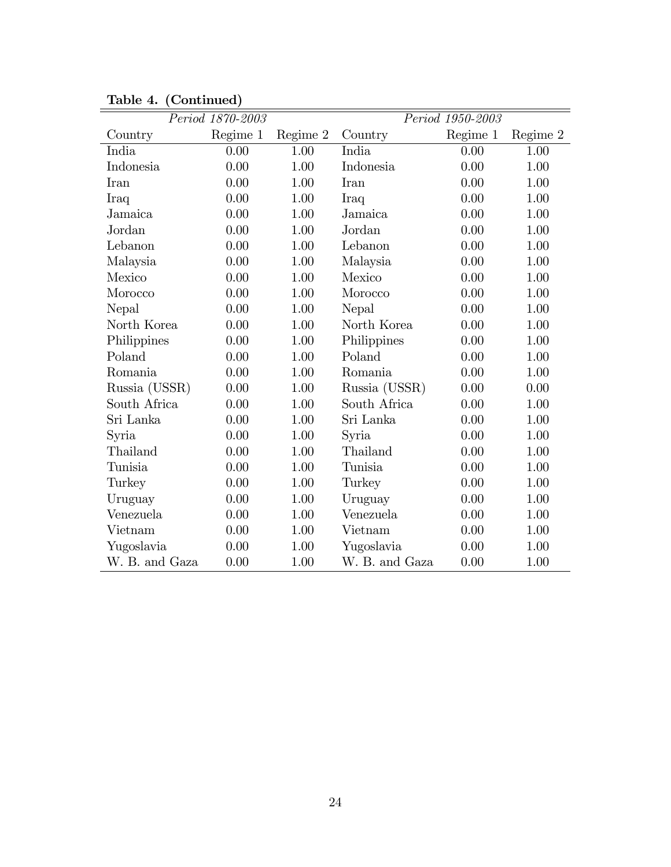|                | Period 1870-2003 |          |                | Period 1950-2003 |          |
|----------------|------------------|----------|----------------|------------------|----------|
| Country        | Regime 1         | Regime 2 | Country        | Regime 1         | Regime 2 |
| India          | 0.00             | 1.00     | India          | 0.00             | 1.00     |
| Indonesia      | 0.00             | 1.00     | Indonesia      | 0.00             | 1.00     |
| Iran           | 0.00             | 1.00     | <b>Iran</b>    | 0.00             | 1.00     |
| Iraq           | 0.00             | 1.00     | Iraq           | 0.00             | 1.00     |
| Jamaica        | 0.00             | 1.00     | Jamaica        | 0.00             | 1.00     |
| Jordan         | 0.00             | 1.00     | Jordan         | 0.00             | 1.00     |
| Lebanon        | 0.00             | 1.00     | Lebanon        | 0.00             | 1.00     |
| Malaysia       | 0.00             | 1.00     | Malaysia       | 0.00             | 1.00     |
| Mexico         | 0.00             | 1.00     | Mexico         | 0.00             | 1.00     |
| Morocco        | 0.00             | 1.00     | Morocco        | 0.00             | 1.00     |
| Nepal          | 0.00             | 1.00     | Nepal          | 0.00             | 1.00     |
| North Korea    | 0.00             | 1.00     | North Korea    | 0.00             | 1.00     |
| Philippines    | 0.00             | 1.00     | Philippines    | 0.00             | 1.00     |
| Poland         | 0.00             | 1.00     | Poland         | 0.00             | 1.00     |
| Romania        | 0.00             | 1.00     | Romania        | 0.00             | 1.00     |
| Russia (USSR)  | 0.00             | 1.00     | Russia (USSR)  | 0.00             | 0.00     |
| South Africa   | 0.00             | 1.00     | South Africa   | 0.00             | 1.00     |
| Sri Lanka      | 0.00             | 1.00     | Sri Lanka      | 0.00             | 1.00     |
| Syria          | 0.00             | 1.00     | Syria          | 0.00             | 1.00     |
| Thailand       | 0.00             | 1.00     | Thailand       | 0.00             | 1.00     |
| Tunisia        | 0.00             | 1.00     | Tunisia        | 0.00             | 1.00     |
| Turkey         | 0.00             | 1.00     | Turkey         | 0.00             | 1.00     |
| Uruguay        | 0.00             | 1.00     | Uruguay        | 0.00             | 1.00     |
| Venezuela      | 0.00             | 1.00     | Venezuela      | 0.00             | 1.00     |
| Vietnam        | 0.00             | 1.00     | Vietnam        | 0.00             | 1.00     |
| Yugoslavia     | 0.00             | 1.00     | Yugoslavia     | 0.00             | 1.00     |
| W. B. and Gaza | 0.00             | 1.00     | W. B. and Gaza | 0.00             | 1.00     |

Table 4. (Continued)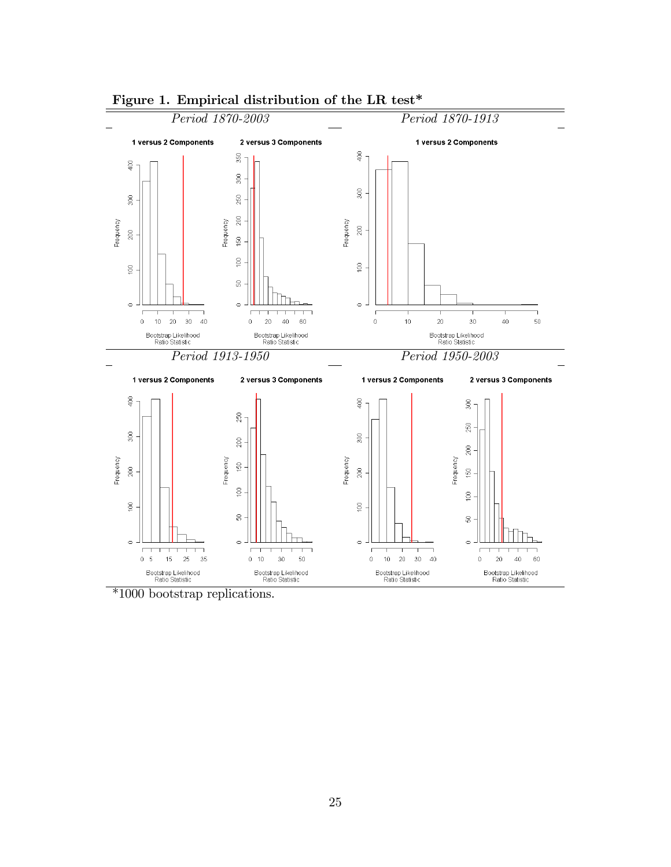

#### Figure 1. Empirical distribution of the LR test\*

\*1000 bootstrap replications.